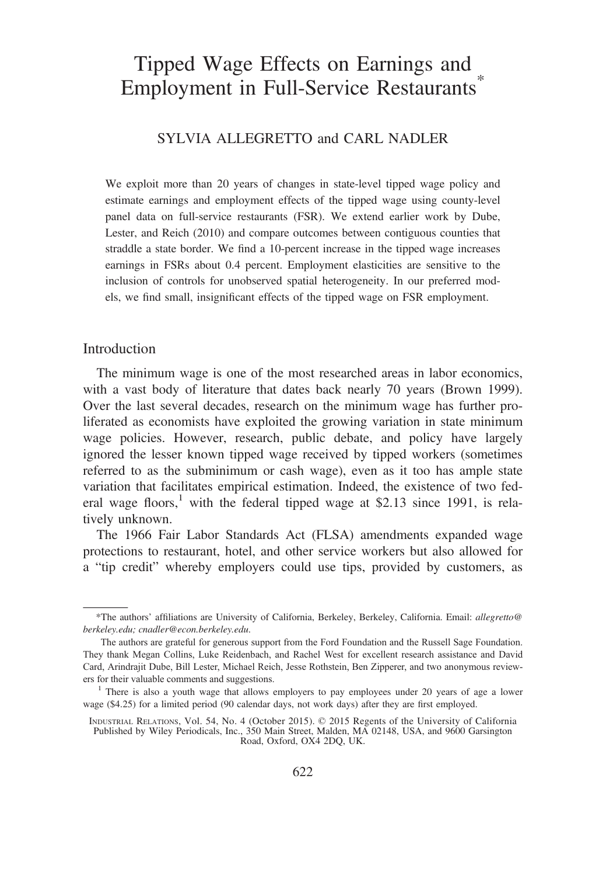# Tipped Wage Effects on Earnings and Employment in Full-Service Restaurants<sup>\*</sup>

### SYLVIA ALLEGRETTO and CARL NADLER

We exploit more than 20 years of changes in state-level tipped wage policy and estimate earnings and employment effects of the tipped wage using county-level panel data on full-service restaurants (FSR). We extend earlier work by Dube, Lester, and Reich (2010) and compare outcomes between contiguous counties that straddle a state border. We find a 10-percent increase in the tipped wage increases earnings in FSRs about 0.4 percent. Employment elasticities are sensitive to the inclusion of controls for unobserved spatial heterogeneity. In our preferred models, we find small, insignificant effects of the tipped wage on FSR employment.

## Introduction

The minimum wage is one of the most researched areas in labor economics, with a vast body of literature that dates back nearly 70 years (Brown 1999). Over the last several decades, research on the minimum wage has further proliferated as economists have exploited the growing variation in state minimum wage policies. However, research, public debate, and policy have largely ignored the lesser known tipped wage received by tipped workers (sometimes referred to as the subminimum or cash wage), even as it too has ample state variation that facilitates empirical estimation. Indeed, the existence of two federal wage floors,<sup>1</sup> with the federal tipped wage at \$2.13 since 1991, is relatively unknown.

The 1966 Fair Labor Standards Act (FLSA) amendments expanded wage protections to restaurant, hotel, and other service workers but also allowed for a "tip credit" whereby employers could use tips, provided by customers, as

<sup>\*</sup>The authors' affiliations are University of California, Berkeley, Berkeley, California. Email: allegretto@ berkeley.edu; cnadler@econ.berkeley.edu.

The authors are grateful for generous support from the Ford Foundation and the Russell Sage Foundation. They thank Megan Collins, Luke Reidenbach, and Rachel West for excellent research assistance and David Card, Arindrajit Dube, Bill Lester, Michael Reich, Jesse Rothstein, Ben Zipperer, and two anonymous reviewers for their valuable comments and suggestions.<br><sup>1</sup> There is also a youth wage that allows employers to pay employees under 20 years of age a lower

wage (\$4.25) for a limited period (90 calendar days, not work days) after they are first employed.

INDUSTRIAL RELATIONS, Vol. 54, No. 4 (October 2015). © 2015 Regents of the University of California Published by Wiley Periodicals, Inc., 350 Main Street, Malden, MA 02148, USA, and 9600 Garsington Road, Oxford, OX4 2DQ, UK.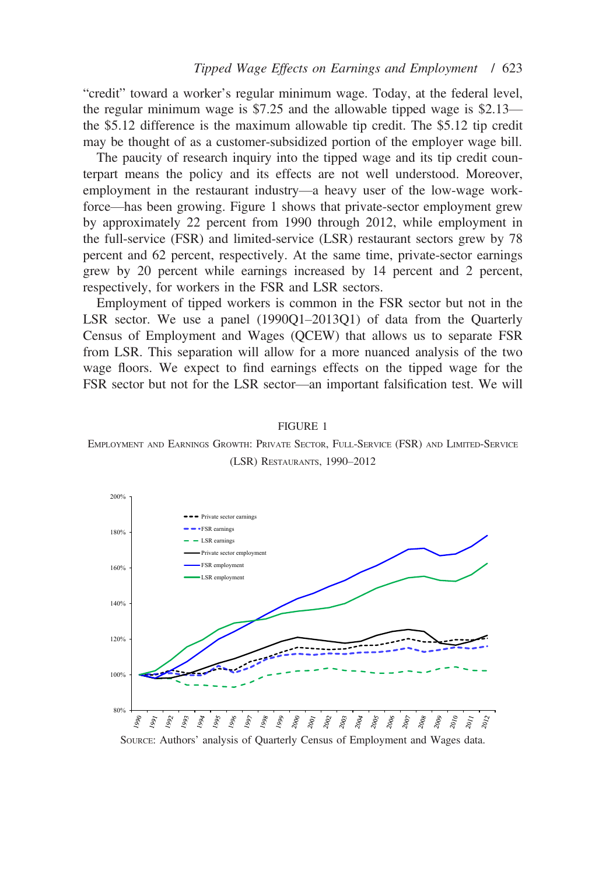"credit" toward a worker's regular minimum wage. Today, at the federal level, the regular minimum wage is \$7.25 and the allowable tipped wage is \$2.13 the \$5.12 difference is the maximum allowable tip credit. The \$5.12 tip credit may be thought of as a customer-subsidized portion of the employer wage bill.

The paucity of research inquiry into the tipped wage and its tip credit counterpart means the policy and its effects are not well understood. Moreover, employment in the restaurant industry—a heavy user of the low-wage workforce—has been growing. Figure 1 shows that private-sector employment grew by approximately 22 percent from 1990 through 2012, while employment in the full-service (FSR) and limited-service (LSR) restaurant sectors grew by 78 percent and 62 percent, respectively. At the same time, private-sector earnings grew by 20 percent while earnings increased by 14 percent and 2 percent, respectively, for workers in the FSR and LSR sectors.

Employment of tipped workers is common in the FSR sector but not in the LSR sector. We use a panel (1990Q1–2013Q1) of data from the Quarterly Census of Employment and Wages (QCEW) that allows us to separate FSR from LSR. This separation will allow for a more nuanced analysis of the two wage floors. We expect to find earnings effects on the tipped wage for the FSR sector but not for the LSR sector—an important falsification test. We will

#### FIGURE 1

EMPLOYMENT AND EARNINGS GROWTH: PRIVATE SECTOR, FULL-SERVICE (FSR) AND LIMITED-SERVICE (LSR) RESTAURANTS, 1990–2012



SOURCE: Authors' analysis of Quarterly Census of Employment and Wages data.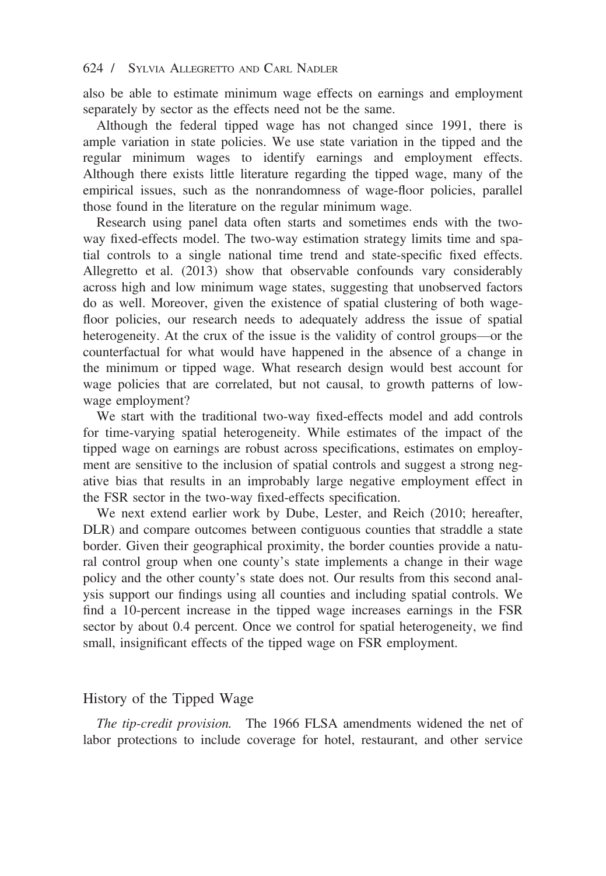also be able to estimate minimum wage effects on earnings and employment separately by sector as the effects need not be the same.

Although the federal tipped wage has not changed since 1991, there is ample variation in state policies. We use state variation in the tipped and the regular minimum wages to identify earnings and employment effects. Although there exists little literature regarding the tipped wage, many of the empirical issues, such as the nonrandomness of wage-floor policies, parallel those found in the literature on the regular minimum wage.

Research using panel data often starts and sometimes ends with the twoway fixed-effects model. The two-way estimation strategy limits time and spatial controls to a single national time trend and state-specific fixed effects. Allegretto et al. (2013) show that observable confounds vary considerably across high and low minimum wage states, suggesting that unobserved factors do as well. Moreover, given the existence of spatial clustering of both wagefloor policies, our research needs to adequately address the issue of spatial heterogeneity. At the crux of the issue is the validity of control groups—or the counterfactual for what would have happened in the absence of a change in the minimum or tipped wage. What research design would best account for wage policies that are correlated, but not causal, to growth patterns of lowwage employment?

We start with the traditional two-way fixed-effects model and add controls for time-varying spatial heterogeneity. While estimates of the impact of the tipped wage on earnings are robust across specifications, estimates on employment are sensitive to the inclusion of spatial controls and suggest a strong negative bias that results in an improbably large negative employment effect in the FSR sector in the two-way fixed-effects specification.

We next extend earlier work by Dube, Lester, and Reich (2010; hereafter, DLR) and compare outcomes between contiguous counties that straddle a state border. Given their geographical proximity, the border counties provide a natural control group when one county's state implements a change in their wage policy and the other county's state does not. Our results from this second analysis support our findings using all counties and including spatial controls. We find a 10-percent increase in the tipped wage increases earnings in the FSR sector by about 0.4 percent. Once we control for spatial heterogeneity, we find small, insignificant effects of the tipped wage on FSR employment.

## History of the Tipped Wage

The tip-credit provision. The 1966 FLSA amendments widened the net of labor protections to include coverage for hotel, restaurant, and other service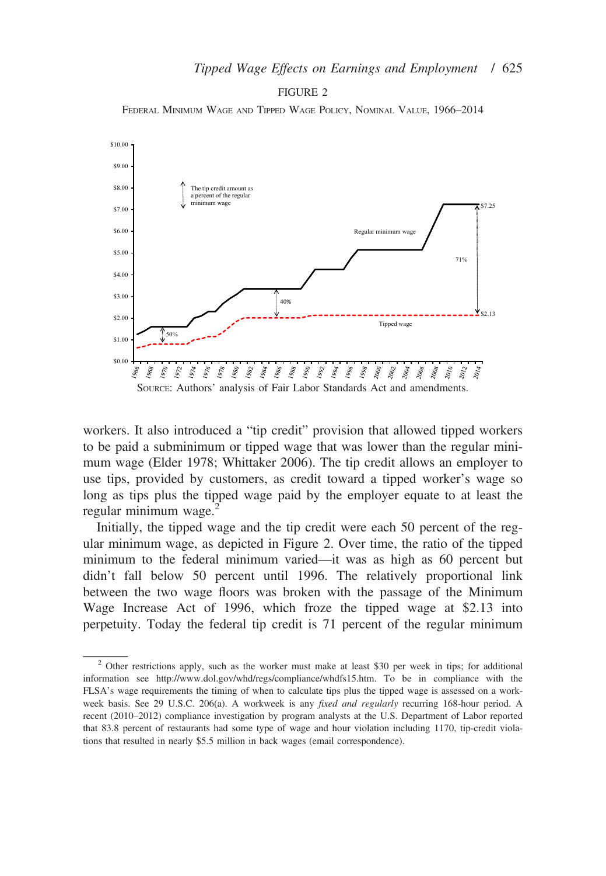

FEDERAL MINIMUM WAGE AND TIPPED WAGE POLICY, NOMINAL VALUE, 1966–2014



workers. It also introduced a "tip credit" provision that allowed tipped workers to be paid a subminimum or tipped wage that was lower than the regular minimum wage (Elder 1978; Whittaker 2006). The tip credit allows an employer to use tips, provided by customers, as credit toward a tipped worker's wage so long as tips plus the tipped wage paid by the employer equate to at least the regular minimum wage. $<sup>2</sup>$ </sup>

Initially, the tipped wage and the tip credit were each 50 percent of the regular minimum wage, as depicted in Figure 2. Over time, the ratio of the tipped minimum to the federal minimum varied—it was as high as 60 percent but didn't fall below 50 percent until 1996. The relatively proportional link between the two wage floors was broken with the passage of the Minimum Wage Increase Act of 1996, which froze the tipped wage at \$2.13 into perpetuity. Today the federal tip credit is 71 percent of the regular minimum

<sup>&</sup>lt;sup>2</sup> Other restrictions apply, such as the worker must make at least \$30 per week in tips; for additional information see<http://www.dol.gov/whd/regs/compliance/whdfs15.htm>. To be in compliance with the FLSA's wage requirements the timing of when to calculate tips plus the tipped wage is assessed on a workweek basis. See 29 U.S.C. 206(a). A workweek is any *fixed and regularly recurring 168-hour period*. A recent (2010–2012) compliance investigation by program analysts at the U.S. Department of Labor reported that 83.8 percent of restaurants had some type of wage and hour violation including 1170, tip-credit violations that resulted in nearly \$5.5 million in back wages (email correspondence).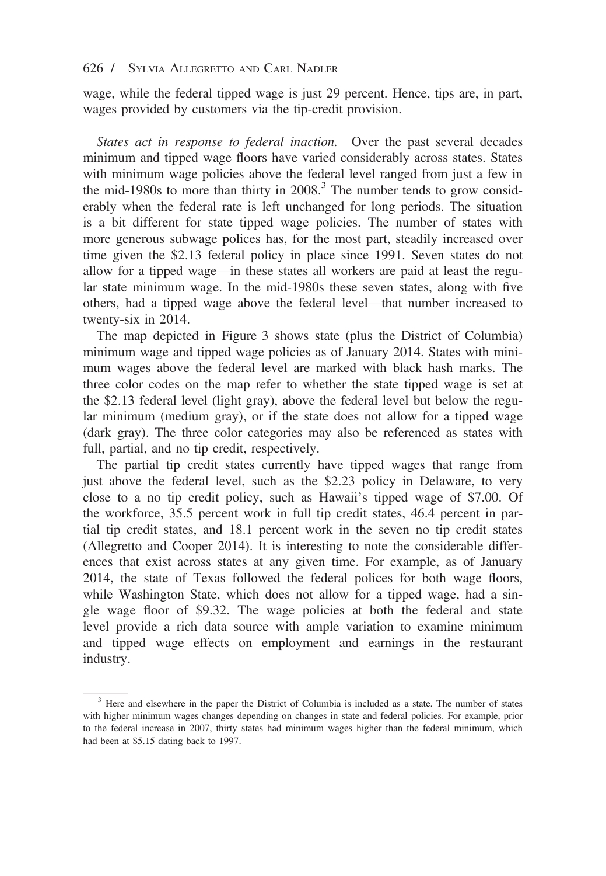wage, while the federal tipped wage is just 29 percent. Hence, tips are, in part, wages provided by customers via the tip-credit provision.

States act in response to federal inaction. Over the past several decades minimum and tipped wage floors have varied considerably across states. States with minimum wage policies above the federal level ranged from just a few in the mid-1980s to more than thirty in  $2008<sup>3</sup>$ . The number tends to grow considerably when the federal rate is left unchanged for long periods. The situation is a bit different for state tipped wage policies. The number of states with more generous subwage polices has, for the most part, steadily increased over time given the \$2.13 federal policy in place since 1991. Seven states do not allow for a tipped wage—in these states all workers are paid at least the regular state minimum wage. In the mid-1980s these seven states, along with five others, had a tipped wage above the federal level—that number increased to twenty-six in 2014.

The map depicted in Figure 3 shows state (plus the District of Columbia) minimum wage and tipped wage policies as of January 2014. States with minimum wages above the federal level are marked with black hash marks. The three color codes on the map refer to whether the state tipped wage is set at the \$2.13 federal level (light gray), above the federal level but below the regular minimum (medium gray), or if the state does not allow for a tipped wage (dark gray). The three color categories may also be referenced as states with full, partial, and no tip credit, respectively.

The partial tip credit states currently have tipped wages that range from just above the federal level, such as the \$2.23 policy in Delaware, to very close to a no tip credit policy, such as Hawaii's tipped wage of \$7.00. Of the workforce, 35.5 percent work in full tip credit states, 46.4 percent in partial tip credit states, and 18.1 percent work in the seven no tip credit states (Allegretto and Cooper 2014). It is interesting to note the considerable differences that exist across states at any given time. For example, as of January 2014, the state of Texas followed the federal polices for both wage floors, while Washington State, which does not allow for a tipped wage, had a single wage floor of \$9.32. The wage policies at both the federal and state level provide a rich data source with ample variation to examine minimum and tipped wage effects on employment and earnings in the restaurant industry.

<sup>&</sup>lt;sup>3</sup> Here and elsewhere in the paper the District of Columbia is included as a state. The number of states with higher minimum wages changes depending on changes in state and federal policies. For example, prior to the federal increase in 2007, thirty states had minimum wages higher than the federal minimum, which had been at \$5.15 dating back to 1997.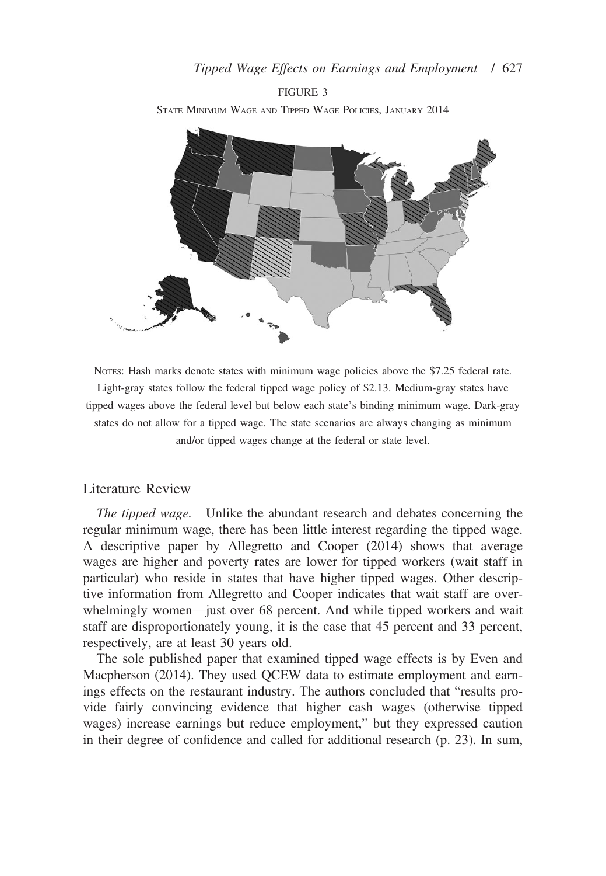```
FIGURE 3
```
STATE MINIMUM WAGE AND TIPPED WAGE POLICIES, JANUARY 2014



NOTES: Hash marks denote states with minimum wage policies above the \$7.25 federal rate. Light-gray states follow the federal tipped wage policy of \$2.13. Medium-gray states have tipped wages above the federal level but below each state's binding minimum wage. Dark-gray states do not allow for a tipped wage. The state scenarios are always changing as minimum and/or tipped wages change at the federal or state level.

## Literature Review

The tipped wage. Unlike the abundant research and debates concerning the regular minimum wage, there has been little interest regarding the tipped wage. A descriptive paper by Allegretto and Cooper (2014) shows that average wages are higher and poverty rates are lower for tipped workers (wait staff in particular) who reside in states that have higher tipped wages. Other descriptive information from Allegretto and Cooper indicates that wait staff are overwhelmingly women—just over 68 percent. And while tipped workers and wait staff are disproportionately young, it is the case that 45 percent and 33 percent, respectively, are at least 30 years old.

The sole published paper that examined tipped wage effects is by Even and Macpherson (2014). They used QCEW data to estimate employment and earnings effects on the restaurant industry. The authors concluded that "results provide fairly convincing evidence that higher cash wages (otherwise tipped wages) increase earnings but reduce employment," but they expressed caution in their degree of confidence and called for additional research (p. 23). In sum,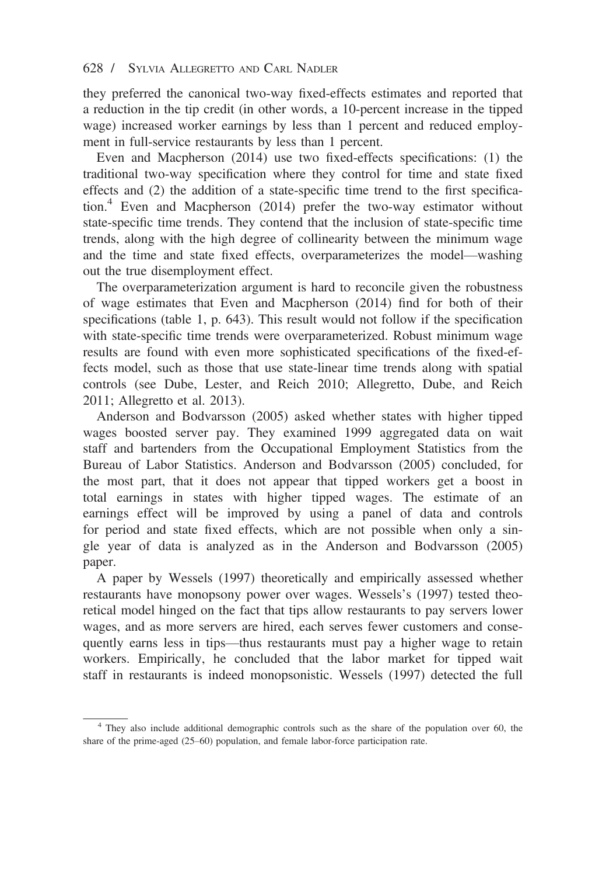they preferred the canonical two-way fixed-effects estimates and reported that a reduction in the tip credit (in other words, a 10-percent increase in the tipped wage) increased worker earnings by less than 1 percent and reduced employment in full-service restaurants by less than 1 percent.

Even and Macpherson (2014) use two fixed-effects specifications: (1) the traditional two-way specification where they control for time and state fixed effects and (2) the addition of a state-specific time trend to the first specification.<sup>4</sup> Even and Macpherson (2014) prefer the two-way estimator without state-specific time trends. They contend that the inclusion of state-specific time trends, along with the high degree of collinearity between the minimum wage and the time and state fixed effects, overparameterizes the model—washing out the true disemployment effect.

The overparameterization argument is hard to reconcile given the robustness of wage estimates that Even and Macpherson (2014) find for both of their specifications (table 1, p. 643). This result would not follow if the specification with state-specific time trends were overparameterized. Robust minimum wage results are found with even more sophisticated specifications of the fixed-effects model, such as those that use state-linear time trends along with spatial controls (see Dube, Lester, and Reich 2010; Allegretto, Dube, and Reich 2011; Allegretto et al. 2013).

Anderson and Bodvarsson (2005) asked whether states with higher tipped wages boosted server pay. They examined 1999 aggregated data on wait staff and bartenders from the Occupational Employment Statistics from the Bureau of Labor Statistics. Anderson and Bodvarsson (2005) concluded, for the most part, that it does not appear that tipped workers get a boost in total earnings in states with higher tipped wages. The estimate of an earnings effect will be improved by using a panel of data and controls for period and state fixed effects, which are not possible when only a single year of data is analyzed as in the Anderson and Bodvarsson (2005) paper.

A paper by Wessels (1997) theoretically and empirically assessed whether restaurants have monopsony power over wages. Wessels's (1997) tested theoretical model hinged on the fact that tips allow restaurants to pay servers lower wages, and as more servers are hired, each serves fewer customers and consequently earns less in tips—thus restaurants must pay a higher wage to retain workers. Empirically, he concluded that the labor market for tipped wait staff in restaurants is indeed monopsonistic. Wessels (1997) detected the full

<sup>4</sup> They also include additional demographic controls such as the share of the population over 60, the share of the prime-aged (25–60) population, and female labor-force participation rate.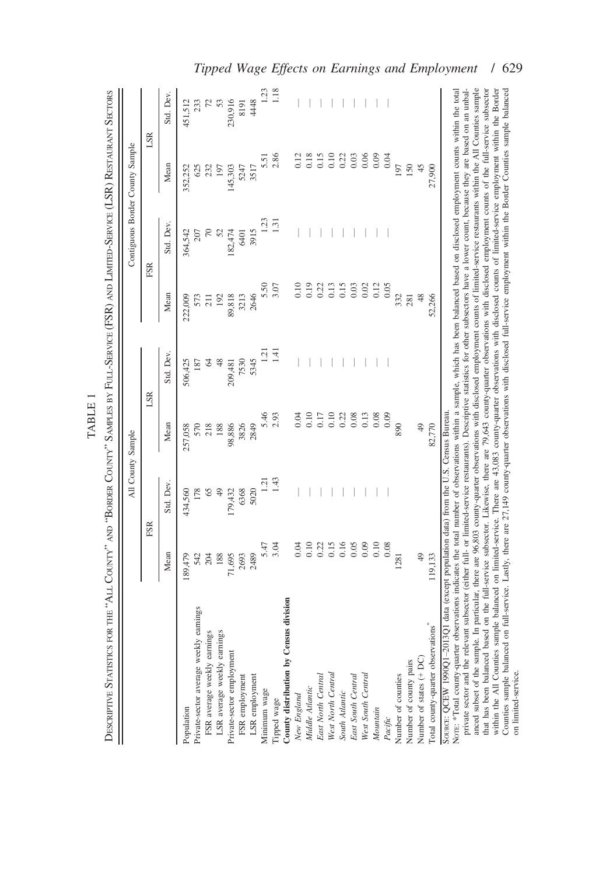| .<br>ו<br>ć                                                                                 |  |
|---------------------------------------------------------------------------------------------|--|
| $\overline{\phantom{a}}$                                                                    |  |
| ì<br>I                                                                                      |  |
| j                                                                                           |  |
| ļ                                                                                           |  |
| ׇ֚֘֝                                                                                        |  |
| I                                                                                           |  |
|                                                                                             |  |
|                                                                                             |  |
| I                                                                                           |  |
|                                                                                             |  |
|                                                                                             |  |
| $\frac{1}{2}$<br>l                                                                          |  |
| ļ                                                                                           |  |
|                                                                                             |  |
| <br> <br> <br>į                                                                             |  |
|                                                                                             |  |
|                                                                                             |  |
| I                                                                                           |  |
|                                                                                             |  |
|                                                                                             |  |
|                                                                                             |  |
|                                                                                             |  |
| I                                                                                           |  |
|                                                                                             |  |
| $\overline{\phantom{a}}$                                                                    |  |
| Í                                                                                           |  |
|                                                                                             |  |
| ļ                                                                                           |  |
| I                                                                                           |  |
|                                                                                             |  |
|                                                                                             |  |
|                                                                                             |  |
| j                                                                                           |  |
| i                                                                                           |  |
|                                                                                             |  |
|                                                                                             |  |
|                                                                                             |  |
| ١                                                                                           |  |
| $\overline{\phantom{a}}$<br>i                                                               |  |
| l<br>١                                                                                      |  |
| ì                                                                                           |  |
| ֦֖֖֖֖֖֧ׅ֦֧֧֧֚֚֚֚֚֚֚֚֚֚֚֚֚֚֚֚֞֕֝֕֝֝֝֝֝֝֬֝֓֞֡֝֬֝֓֞֝֬֝֓֬֝֓֬֝֓֬֝֓֬֝֬֝֓֝֬֝֓֞֬֝֓֝֬֝֬֝֬֝֬֝֬֝֬֝֝֞֝֬ |  |
| $\overline{\phantom{a}}$                                                                    |  |
| i<br>í                                                                                      |  |
|                                                                                             |  |
|                                                                                             |  |
| Ì                                                                                           |  |
|                                                                                             |  |
| İ<br>l                                                                                      |  |
| I                                                                                           |  |
| i                                                                                           |  |
| Ì                                                                                           |  |
|                                                                                             |  |
| $\overline{\phantom{a}}$<br>i                                                               |  |
| i<br>ì                                                                                      |  |
|                                                                                             |  |
| ١                                                                                           |  |
| Ì                                                                                           |  |
| $\overline{\phantom{a}}$                                                                    |  |
| j                                                                                           |  |
|                                                                                             |  |
|                                                                                             |  |
| į<br>í                                                                                      |  |
| l                                                                                           |  |
| ╮                                                                                           |  |
| Ì                                                                                           |  |
|                                                                                             |  |
|                                                                                             |  |
|                                                                                             |  |
|                                                                                             |  |
| l<br>۱                                                                                      |  |
| ļ                                                                                           |  |
| j                                                                                           |  |
|                                                                                             |  |
|                                                                                             |  |
|                                                                                             |  |
|                                                                                             |  |
|                                                                                             |  |
|                                                                                             |  |
| ١                                                                                           |  |
| l                                                                                           |  |
| ֖֖֪ׅ֚֚֚֚֚֚֚֚֚֚֚֚֚֬֝֝֝֝֝֬֝֝֝֬֝֝֬֝֬֝֬֝֬֝֬֝֓֬֝֬֝֬                                              |  |
|                                                                                             |  |
| $\overline{\phantom{a}}$<br>j                                                               |  |
| l                                                                                           |  |
| $\frac{1}{2}$<br>l<br>i<br>$\overline{ }$                                                   |  |

TABLE 1

TABLE 1

|                                                                                       |                                                                               | All County Sample       |                            |                                      |                                              |                               | Contiguous Border County Sample |                                    |
|---------------------------------------------------------------------------------------|-------------------------------------------------------------------------------|-------------------------|----------------------------|--------------------------------------|----------------------------------------------|-------------------------------|---------------------------------|------------------------------------|
|                                                                                       |                                                                               | <b>FSR</b>              |                            | LSR                                  | FSR                                          |                               |                                 | LSR                                |
|                                                                                       | Mean                                                                          | Std. Dev.               | Mean                       | Std. Dev.                            | Mean                                         | Std. Dev.                     | Mean                            | Std. Dev.                          |
| Population                                                                            | 189,479                                                                       | 434,560                 | 257,058                    | 506,425                              | 222,009                                      | 364,542                       | 352,252                         | 451,512                            |
| Private-sector average weekly earnings                                                |                                                                               | 178                     |                            | 187                                  |                                              | 207                           |                                 | 233                                |
| FSR average weekly earnings<br>LSR average weekly earnings                            | $\begin{array}{r} 542 \\ 204 \\ 188 \\ 1695 \\ 71,693 \\ 2489 \\ \end{array}$ |                         | 570<br>218                 |                                      | 573<br>21 1 92<br>1 93,818<br>89,813<br>2646 |                               | 625<br>232<br>197               |                                    |
|                                                                                       |                                                                               | $\overline{6}$          | 188                        | 64<br>48<br>48<br>48<br>5345<br>7530 |                                              |                               |                                 | $72\n53\n53\n53\n8191\n8191\n4448$ |
| Private-sector employment                                                             |                                                                               | 179,432<br>6368<br>5020 |                            |                                      |                                              | 52<br>182,474<br>6401<br>3915 |                                 |                                    |
|                                                                                       |                                                                               |                         | 98,886<br>3826             |                                      |                                              |                               | 145,303<br>5247<br>3517         |                                    |
|                                                                                       |                                                                               |                         | 2849                       |                                      |                                              |                               |                                 |                                    |
| FSR employment<br>LSR employment<br>Minimum wage                                      |                                                                               | 1.2                     |                            |                                      | 5.50                                         | 1.23                          | 5.51                            | 1.23                               |
|                                                                                       | 5.47<br>3.04                                                                  | 1.43                    | 5.46<br>2.93               | $\frac{1}{4}$                        | $3.07$                                       | $\overline{131}$              | 2.86                            | $1.18$                             |
| Tipped wage<br>County distribution by Census division                                 |                                                                               |                         |                            |                                      |                                              |                               |                                 |                                    |
| New England<br>Middle Atlantic<br>East North Central                                  |                                                                               |                         | 0.04                       |                                      | 0.10                                         |                               |                                 |                                    |
|                                                                                       |                                                                               |                         | $0.10\,$                   |                                      | 0.19                                         |                               |                                 |                                    |
|                                                                                       |                                                                               |                         | 0.17                       |                                      | 0.22                                         |                               |                                 |                                    |
| West North Central<br>South Atlantic                                                  |                                                                               |                         | $0.10$<br>$0.28$<br>$0.08$ |                                      | 0.13                                         |                               |                                 |                                    |
|                                                                                       |                                                                               |                         |                            |                                      | 0.15                                         |                               |                                 |                                    |
| East South Central<br>West South Central                                              |                                                                               |                         |                            |                                      | 0.03                                         |                               |                                 |                                    |
|                                                                                       |                                                                               |                         | 0.13                       |                                      | 0.02                                         |                               |                                 |                                    |
| $M$ ountain                                                                           |                                                                               |                         | 0.08                       |                                      | 0.12                                         |                               |                                 |                                    |
| Pacific                                                                               | 0.08                                                                          |                         | 0.09                       |                                      | 0.05                                         |                               | 0.04                            |                                    |
|                                                                                       | 1281                                                                          |                         | 890                        |                                      | 332                                          |                               | 197                             |                                    |
| Number of counties<br>Number of county pairs<br>Number of states (+ DC)               |                                                                               |                         |                            |                                      | 281                                          |                               | 150                             |                                    |
|                                                                                       | $\frac{4}{9}$                                                                 |                         | $\frac{49}{5}$             |                                      | 48                                           |                               | 45                              |                                    |
| ations"<br>Total county-quarter observ                                                | 119,133                                                                       |                         | 82,770                     |                                      | 52,266                                       |                               | 27,900                          |                                    |
| Source: QCEW 1990Q1-2013Q1 data (except population data) from the U.S. Census Bureau. |                                                                               |                         |                            |                                      |                                              |                               |                                 |                                    |

## Tipped Wage Effects on Earnings and Employment / 629

anced subset of the sample. In particular, there are 96,803 county-quarter observations with disclosed employment counts of limited-service restaurants within the All Counties sample within the All Counties sample balanced on limited-service. There are 43,083 county-quarter observations with disclosed counts of limited-service employment within the Border<br>Counties sample balanced on full-service. Lastl that has been balanced based on the full-service subsector. Likewise, there are 79,643 county-quarter observations with disclosed employment counts of the full-service subsector Nore: \*Total county-quarter observations indicates the total number of observations within a sample, which has been balanced based on disclosed employment counts within the total<br>private sector and the relevant subsector ( anced subset of the sample. In particular, there are 96,803 county-quarter observations with disclosed employment counts of limited-service restaurants within the All Counties sample that has been balanced based on the full-service subsector. Likewise, there are 79,643 county-quarter observations with disclosed employment counts of the full-service subsector within the All Counties sample balanced on limited-service. There are 43,083 county-quarter observations with disclosed counts of limited-service employment within the Border Counties sample balanced on full-service. Lastly, there are 27,149 county-quarter observations with disclosed full-service employment within the Border Counties sample balanced NOTE: \*Total county-quarter observations indicates the total number of observations within a sample, which has been balanced based on disclosed employment counts within the total private sector and the relevant subsector (either full- or limited-service restaurants). Descriptive statistics for other subsectors have a lower count, because they are based on an unbalon limited-service. on limited-service.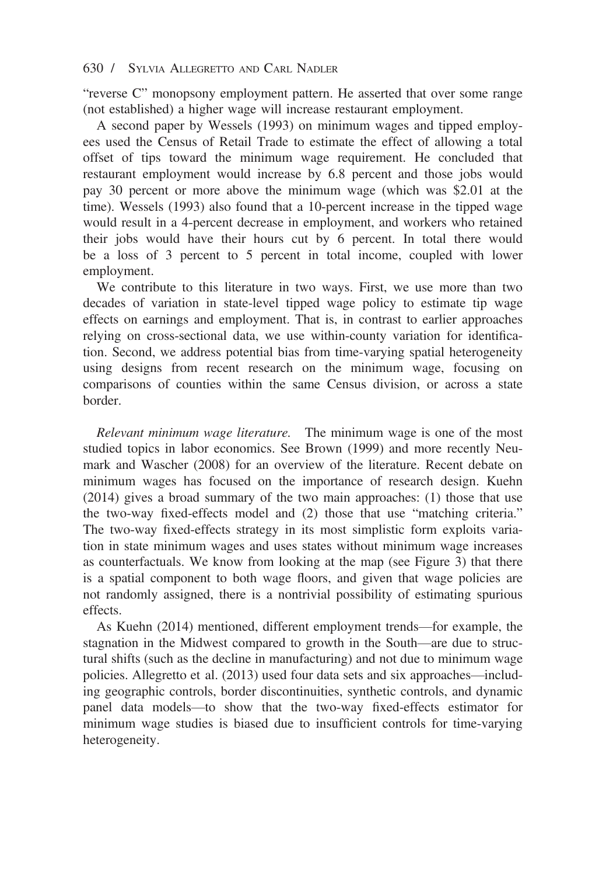"reverse C" monopsony employment pattern. He asserted that over some range (not established) a higher wage will increase restaurant employment.

A second paper by Wessels (1993) on minimum wages and tipped employees used the Census of Retail Trade to estimate the effect of allowing a total offset of tips toward the minimum wage requirement. He concluded that restaurant employment would increase by 6.8 percent and those jobs would pay 30 percent or more above the minimum wage (which was \$2.01 at the time). Wessels (1993) also found that a 10-percent increase in the tipped wage would result in a 4-percent decrease in employment, and workers who retained their jobs would have their hours cut by 6 percent. In total there would be a loss of 3 percent to 5 percent in total income, coupled with lower employment.

We contribute to this literature in two ways. First, we use more than two decades of variation in state-level tipped wage policy to estimate tip wage effects on earnings and employment. That is, in contrast to earlier approaches relying on cross-sectional data, we use within-county variation for identification. Second, we address potential bias from time-varying spatial heterogeneity using designs from recent research on the minimum wage, focusing on comparisons of counties within the same Census division, or across a state border.

Relevant minimum wage literature. The minimum wage is one of the most studied topics in labor economics. See Brown (1999) and more recently Neumark and Wascher (2008) for an overview of the literature. Recent debate on minimum wages has focused on the importance of research design. Kuehn (2014) gives a broad summary of the two main approaches: (1) those that use the two-way fixed-effects model and (2) those that use "matching criteria." The two-way fixed-effects strategy in its most simplistic form exploits variation in state minimum wages and uses states without minimum wage increases as counterfactuals. We know from looking at the map (see Figure 3) that there is a spatial component to both wage floors, and given that wage policies are not randomly assigned, there is a nontrivial possibility of estimating spurious effects.

As Kuehn (2014) mentioned, different employment trends—for example, the stagnation in the Midwest compared to growth in the South—are due to structural shifts (such as the decline in manufacturing) and not due to minimum wage policies. Allegretto et al. (2013) used four data sets and six approaches—including geographic controls, border discontinuities, synthetic controls, and dynamic panel data models—to show that the two-way fixed-effects estimator for minimum wage studies is biased due to insufficient controls for time-varying heterogeneity.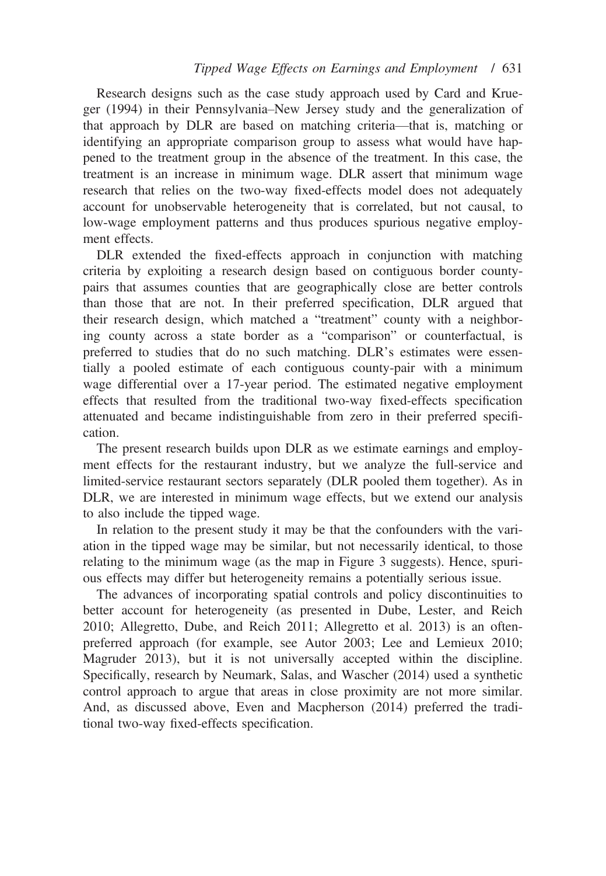Research designs such as the case study approach used by Card and Krueger (1994) in their Pennsylvania–New Jersey study and the generalization of that approach by DLR are based on matching criteria—that is, matching or identifying an appropriate comparison group to assess what would have happened to the treatment group in the absence of the treatment. In this case, the treatment is an increase in minimum wage. DLR assert that minimum wage research that relies on the two-way fixed-effects model does not adequately account for unobservable heterogeneity that is correlated, but not causal, to low-wage employment patterns and thus produces spurious negative employment effects.

DLR extended the fixed-effects approach in conjunction with matching criteria by exploiting a research design based on contiguous border countypairs that assumes counties that are geographically close are better controls than those that are not. In their preferred specification, DLR argued that their research design, which matched a "treatment" county with a neighboring county across a state border as a "comparison" or counterfactual, is preferred to studies that do no such matching. DLR's estimates were essentially a pooled estimate of each contiguous county-pair with a minimum wage differential over a 17-year period. The estimated negative employment effects that resulted from the traditional two-way fixed-effects specification attenuated and became indistinguishable from zero in their preferred specification.

The present research builds upon DLR as we estimate earnings and employment effects for the restaurant industry, but we analyze the full-service and limited-service restaurant sectors separately (DLR pooled them together). As in DLR, we are interested in minimum wage effects, but we extend our analysis to also include the tipped wage.

In relation to the present study it may be that the confounders with the variation in the tipped wage may be similar, but not necessarily identical, to those relating to the minimum wage (as the map in Figure 3 suggests). Hence, spurious effects may differ but heterogeneity remains a potentially serious issue.

The advances of incorporating spatial controls and policy discontinuities to better account for heterogeneity (as presented in Dube, Lester, and Reich 2010; Allegretto, Dube, and Reich 2011; Allegretto et al. 2013) is an oftenpreferred approach (for example, see Autor 2003; Lee and Lemieux 2010; Magruder 2013), but it is not universally accepted within the discipline. Specifically, research by Neumark, Salas, and Wascher (2014) used a synthetic control approach to argue that areas in close proximity are not more similar. And, as discussed above, Even and Macpherson (2014) preferred the traditional two-way fixed-effects specification.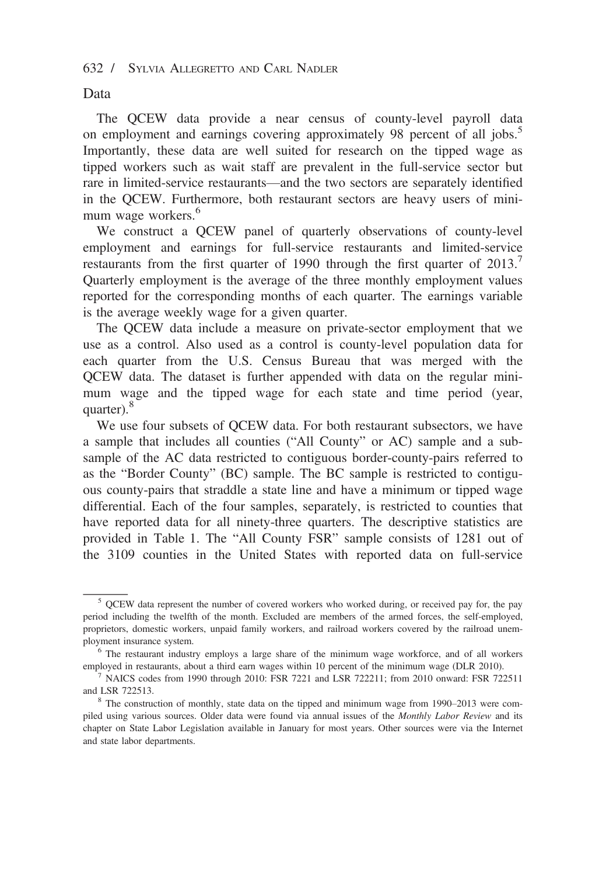#### Data

The QCEW data provide a near census of county-level payroll data on employment and earnings covering approximately 98 percent of all jobs.<sup>5</sup> Importantly, these data are well suited for research on the tipped wage as tipped workers such as wait staff are prevalent in the full-service sector but rare in limited-service restaurants—and the two sectors are separately identified in the QCEW. Furthermore, both restaurant sectors are heavy users of minimum wage workers.<sup>6</sup>

We construct a QCEW panel of quarterly observations of county-level employment and earnings for full-service restaurants and limited-service restaurants from the first quarter of 1990 through the first quarter of  $2013$ . Quarterly employment is the average of the three monthly employment values reported for the corresponding months of each quarter. The earnings variable is the average weekly wage for a given quarter.

The QCEW data include a measure on private-sector employment that we use as a control. Also used as a control is county-level population data for each quarter from the U.S. Census Bureau that was merged with the QCEW data. The dataset is further appended with data on the regular minimum wage and the tipped wage for each state and time period (year, quarter). $8$ 

We use four subsets of QCEW data. For both restaurant subsectors, we have a sample that includes all counties ("All County" or AC) sample and a subsample of the AC data restricted to contiguous border-county-pairs referred to as the "Border County" (BC) sample. The BC sample is restricted to contiguous county-pairs that straddle a state line and have a minimum or tipped wage differential. Each of the four samples, separately, is restricted to counties that have reported data for all ninety-three quarters. The descriptive statistics are provided in Table 1. The "All County FSR" sample consists of 1281 out of the 3109 counties in the United States with reported data on full-service

<sup>&</sup>lt;sup>5</sup> OCEW data represent the number of covered workers who worked during, or received pay for, the pay period including the twelfth of the month. Excluded are members of the armed forces, the self-employed, proprietors, domestic workers, unpaid family workers, and railroad workers covered by the railroad unemployment insurance system.<br><sup>6</sup> The restaurant industry employs a large share of the minimum wage workforce, and of all workers

employed in restaurants, about a third earn wages within 10 percent of the minimum wage (DLR 2010).<br><sup>7</sup> NAICS codes from 1990 through 2010: FSR 7221 and LSR 722211; from 2010 onward: FSR 722511

and LSR 722513.<br><sup>8</sup> The construction of monthly, state data on the tipped and minimum wage from 1990–2013 were com-

piled using various sources. Older data were found via annual issues of the Monthly Labor Review and its chapter on State Labor Legislation available in January for most years. Other sources were via the Internet and state labor departments.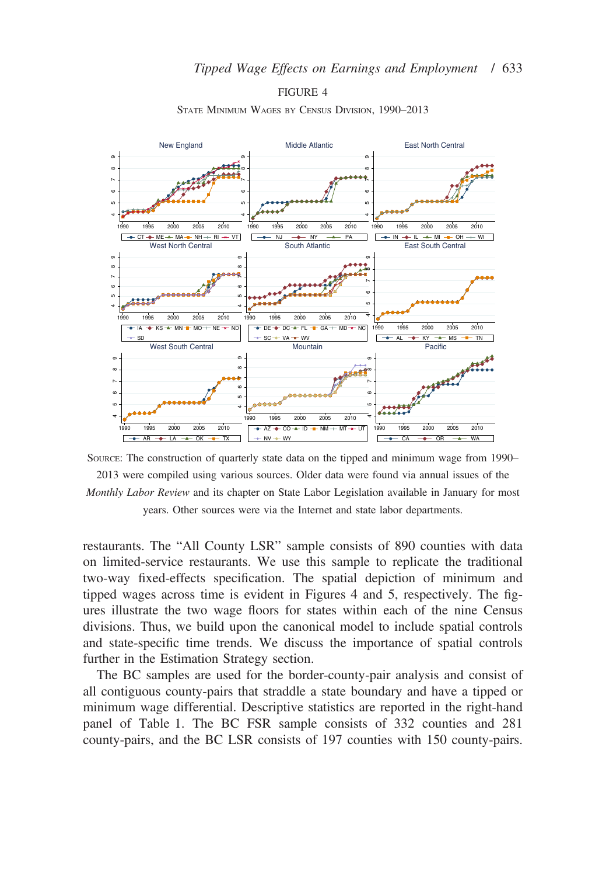

FIGURE 4 STATE MINIMUM WAGES BY CENSUS DIVISION, 1990–2013

SOURCE: The construction of quarterly state data on the tipped and minimum wage from 1990– 2013 were compiled using various sources. Older data were found via annual issues of the Monthly Labor Review and its chapter on State Labor Legislation available in January for most years. Other sources were via the Internet and state labor departments.

restaurants. The "All County LSR" sample consists of 890 counties with data on limited-service restaurants. We use this sample to replicate the traditional two-way fixed-effects specification. The spatial depiction of minimum and tipped wages across time is evident in Figures 4 and 5, respectively. The figures illustrate the two wage floors for states within each of the nine Census divisions. Thus, we build upon the canonical model to include spatial controls and state-specific time trends. We discuss the importance of spatial controls further in the Estimation Strategy section.

The BC samples are used for the border-county-pair analysis and consist of all contiguous county-pairs that straddle a state boundary and have a tipped or minimum wage differential. Descriptive statistics are reported in the right-hand panel of Table 1. The BC FSR sample consists of 332 counties and 281 county-pairs, and the BC LSR consists of 197 counties with 150 county-pairs.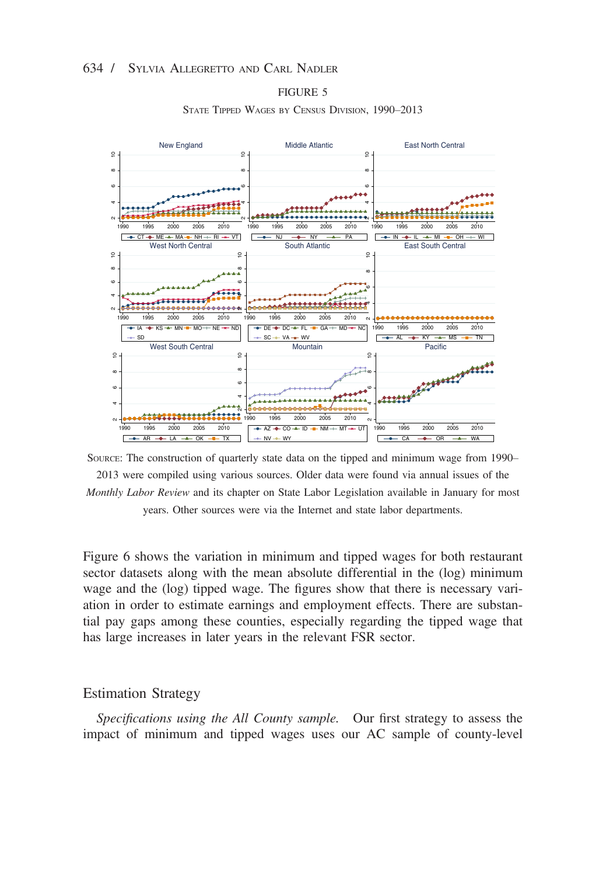

FIGURE 5

STATE TIPPED WAGES BY CENSUS DIVISION, 1990–2013

SOURCE: The construction of quarterly state data on the tipped and minimum wage from 1990– 2013 were compiled using various sources. Older data were found via annual issues of the Monthly Labor Review and its chapter on State Labor Legislation available in January for most years. Other sources were via the Internet and state labor departments.

Figure 6 shows the variation in minimum and tipped wages for both restaurant sector datasets along with the mean absolute differential in the (log) minimum wage and the (log) tipped wage. The figures show that there is necessary variation in order to estimate earnings and employment effects. There are substantial pay gaps among these counties, especially regarding the tipped wage that has large increases in later years in the relevant FSR sector.

#### Estimation Strategy

Specifications using the All County sample. Our first strategy to assess the impact of minimum and tipped wages uses our AC sample of county-level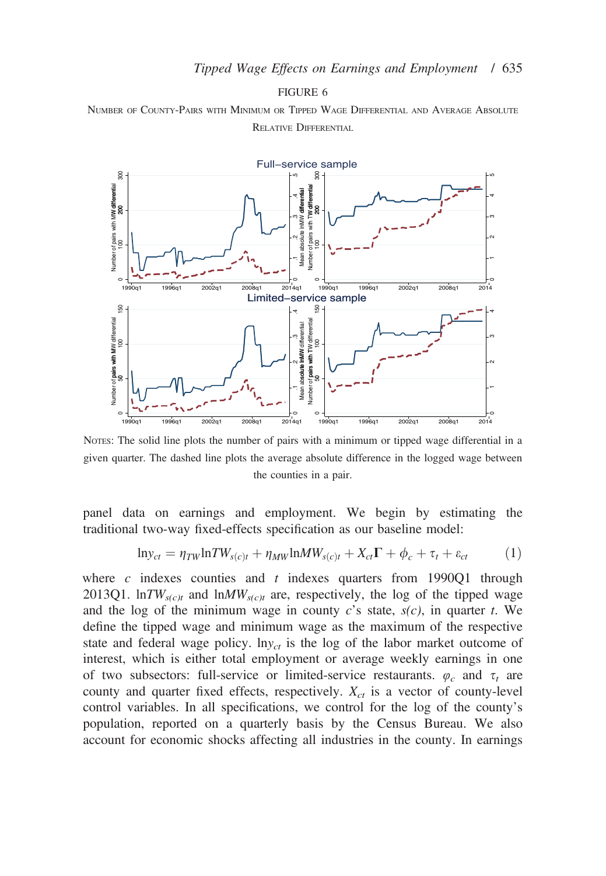#### FIGURE 6

NUMBER OF COUNTY-PAIRS WITH MINIMUM OR TIPPED WAGE DIFFERENTIAL AND AVERAGE ABSOLUTE RELATIVE DIFFERENTIAL



NOTES: The solid line plots the number of pairs with a minimum or tipped wage differential in a given quarter. The dashed line plots the average absolute difference in the logged wage between the counties in a pair.

panel data on earnings and employment. We begin by estimating the traditional two-way fixed-effects specification as our baseline model:

$$
ln y_{ct} = \eta_{TW} ln TW_{s(c)t} + \eta_{MW} ln MW_{s(c)t} + X_{ct} \Gamma + \phi_c + \tau_t + \varepsilon_{ct}
$$
 (1)

where  $c$  indexes counties and  $t$  indexes quarters from 1990Q1 through 2013Q1.  $lnTW_{s(c)t}$  and  $lnMW_{s(c)t}$  are, respectively, the log of the tipped wage and the log of the minimum wage in county c's state,  $s(c)$ , in quarter t. We define the tipped wage and minimum wage as the maximum of the respective state and federal wage policy.  $ln y_{ct}$  is the log of the labor market outcome of interest, which is either total employment or average weekly earnings in one of two subsectors: full-service or limited-service restaurants.  $\varphi_c$  and  $\tau_t$  are county and quarter fixed effects, respectively.  $X_{ct}$  is a vector of county-level control variables. In all specifications, we control for the log of the county's population, reported on a quarterly basis by the Census Bureau. We also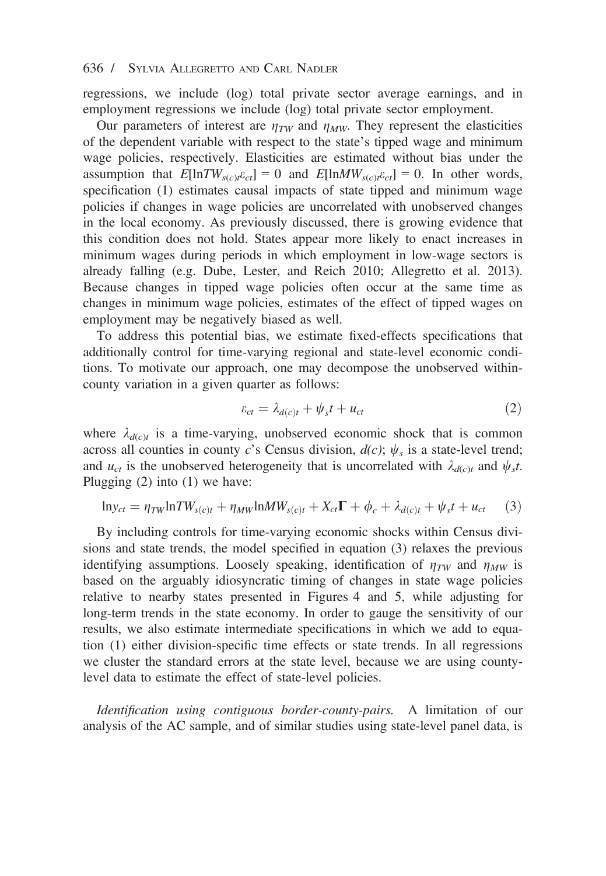regressions, we include (log) total private sector average earnings, and in employment regressions we include (log) total private sector employment.

Our parameters of interest are  $\eta_{TW}$  and  $\eta_{MW}$ . They represent the elasticities of the dependent variable with respect to the state's tipped wage and minimum wage policies, respectively. Elasticities are estimated without bias under the assumption that  $E[\ln TW_{s(c)}\varepsilon_{ct}] = 0$  and  $E[\ln MW_{s(c)}\varepsilon_{ct}] = 0$ . In other words, specification (1) estimates causal impacts of state tipped and minimum wage policies if changes in wage policies are uncorrelated with unobserved changes in the local economy. As previously discussed, there is growing evidence that this condition does not hold. States appear more likely to enact increases in minimum wages during periods in which employment in low-wage sectors is already falling (e.g. Dube, Lester, and Reich 2010; Allegretto et al. 2013). Because changes in tipped wage policies often occur at the same time as changes in minimum wage policies, estimates of the effect of tipped wages on employment may be negatively biased as well.

To address this potential bias, we estimate fixed-effects specifications that additionally control for time-varying regional and state-level economic conditions. To motivate our approach, one may decompose the unobserved withincounty variation in a given quarter as follows:

$$
\varepsilon_{ct} = \lambda_{d(c)t} + \psi_s t + u_{ct} \tag{2}
$$

where  $\lambda_{d(c)t}$  is a time-varying, unobserved economic shock that is common across all counties in county c's Census division,  $d(c)$ ;  $\psi_s$  is a state-level trend; and  $u_{ct}$  is the unobserved heterogeneity that is uncorrelated with  $\lambda_{d(ct)}$  and  $\psi_s t$ . Plugging (2) into (1) we have:

$$
ln y_{ct} = \eta_{TW} ln TW_{s(c)t} + \eta_{MW} ln MW_{s(c)t} + X_{ct} \Gamma + \phi_c + \lambda_{d(c)t} + \psi_s t + u_{ct}
$$
 (3)

By including controls for time-varying economic shocks within Census divisions and state trends, the model specified in equation (3) relaxes the previous identifying assumptions. Loosely speaking, identification of  $\eta_{TW}$  and  $\eta_{MW}$  is based on the arguably idiosyncratic timing of changes in state wage policies relative to nearby states presented in Figures 4 and 5, while adjusting for long-term trends in the state economy. In order to gauge the sensitivity of our results, we also estimate intermediate specifications in which we add to equation (1) either division-specific time effects or state trends. In all regressions we cluster the standard errors at the state level, because we are using countylevel data to estimate the effect of state-level policies.

Identification using contiguous border-county-pairs. A limitation of our analysis of the AC sample, and of similar studies using state-level panel data, is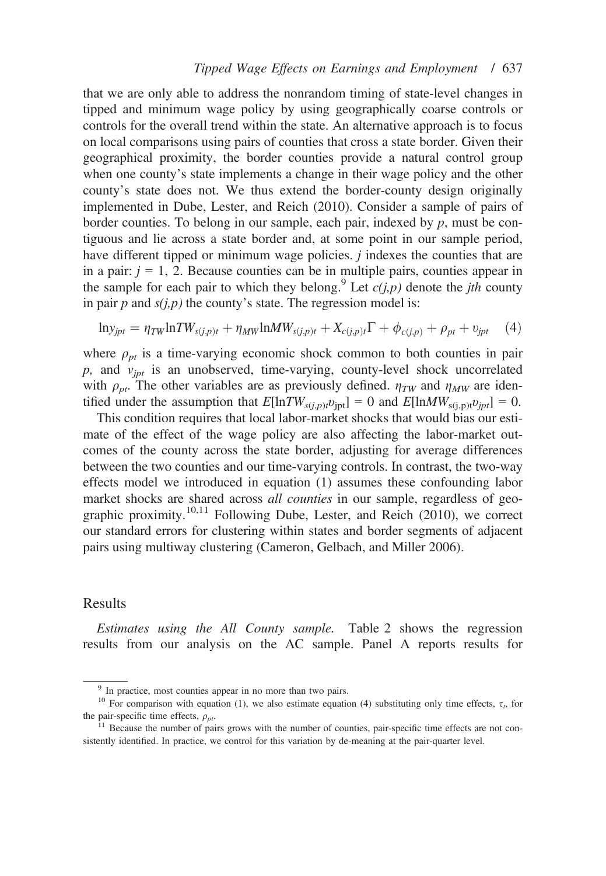that we are only able to address the nonrandom timing of state-level changes in tipped and minimum wage policy by using geographically coarse controls or controls for the overall trend within the state. An alternative approach is to focus on local comparisons using pairs of counties that cross a state border. Given their geographical proximity, the border counties provide a natural control group when one county's state implements a change in their wage policy and the other county's state does not. We thus extend the border-county design originally implemented in Dube, Lester, and Reich (2010). Consider a sample of pairs of border counties. To belong in our sample, each pair, indexed by  $p$ , must be contiguous and lie across a state border and, at some point in our sample period, have different tipped or minimum wage policies.  $j$  indexes the counties that are in a pair:  $j = 1, 2$ . Because counties can be in multiple pairs, counties appear in the sample for each pair to which they belong.<sup>9</sup> Let  $c(i,p)$  denote the *jth* county in pair  $p$  and  $s(j, p)$  the county's state. The regression model is:

$$
ln y_{jpt} = \eta_{TW} ln TW_{s(j,p)t} + \eta_{MW} lnMW_{s(j,p)t} + X_{c(j,p)t} + \phi_{c(j,p)} + \rho_{pt} + v_{jpt} \tag{4}
$$

where  $\rho_{nt}$  is a time-varying economic shock common to both counties in pair  $p$ , and  $v_{jpt}$  is an unobserved, time-varying, county-level shock uncorrelated with  $\rho_{pt}$ . The other variables are as previously defined.  $\eta_{TW}$  and  $\eta_{MW}$  are identified under the assumption that  $E[\ln TW_{s(i,p)t}v_{\text{ipt}}] = 0$  and  $E[\ln MW_{s(i,p)t}v_{\text{ipt}}] = 0$ .

This condition requires that local labor-market shocks that would bias our estimate of the effect of the wage policy are also affecting the labor-market outcomes of the county across the state border, adjusting for average differences between the two counties and our time-varying controls. In contrast, the two-way effects model we introduced in equation (1) assumes these confounding labor market shocks are shared across all counties in our sample, regardless of geographic proximity.<sup>10,11</sup> Following Dube, Lester, and Reich (2010), we correct our standard errors for clustering within states and border segments of adjacent pairs using multiway clustering (Cameron, Gelbach, and Miller 2006).

#### Results

Estimates using the All County sample. Table 2 shows the regression results from our analysis on the AC sample. Panel A reports results for

<sup>&</sup>lt;sup>9</sup> In practice, most counties appear in no more than two pairs.

<sup>&</sup>lt;sup>10</sup> For comparison with equation (1), we also estimate equation (4) substituting only time effects,  $\tau$ , for the pair-specific time effects,  $\rho_{pt}$ .

 $11$  Because the number of pairs grows with the number of counties, pair-specific time effects are not consistently identified. In practice, we control for this variation by de-meaning at the pair-quarter level.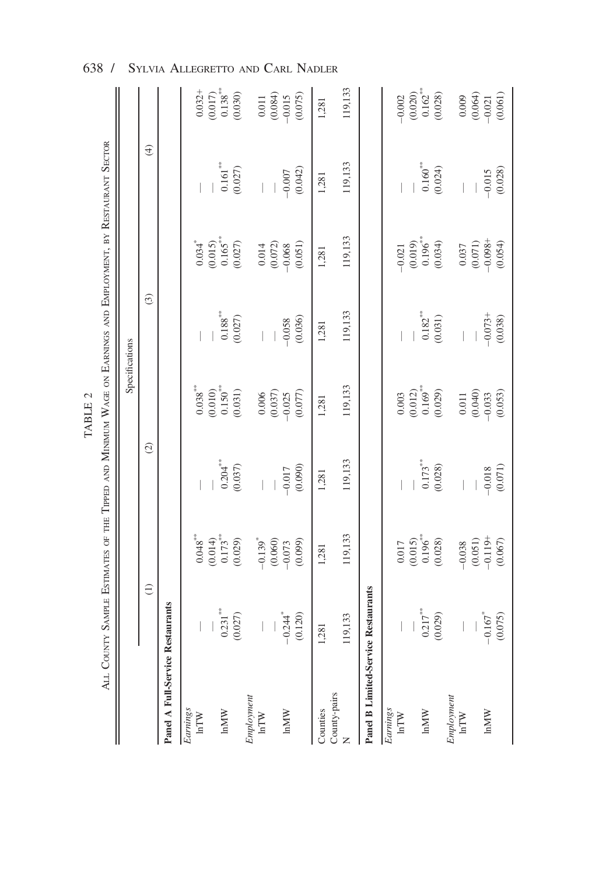|                                  |                                  |                                                                              |                       | Specifications                                                                     |                                       |                                                                                            |                                       |                                                                    |
|----------------------------------|----------------------------------|------------------------------------------------------------------------------|-----------------------|------------------------------------------------------------------------------------|---------------------------------------|--------------------------------------------------------------------------------------------|---------------------------------------|--------------------------------------------------------------------|
|                                  | $\ominus$<br>J                   |                                                                              | $\odot$               |                                                                                    | $\odot$                               |                                                                                            | $\bigoplus$                           |                                                                    |
| Panel A Full-Service Restaurants |                                  |                                                                              |                       |                                                                                    |                                       |                                                                                            |                                       |                                                                    |
| Earnings<br>lnTW                 |                                  |                                                                              |                       |                                                                                    |                                       |                                                                                            |                                       | $0.032 +$                                                          |
|                                  |                                  |                                                                              |                       |                                                                                    |                                       |                                                                                            |                                       |                                                                    |
| $\ln \! M\!$                     | $0.231***$<br>(0.027)            | $\begin{array}{c} 0.048^{**} \\ (0.014) \\ 0.173^{**} \\ 0.029) \end{array}$ | $0.204***$<br>(0.037) | $\begin{array}{c} 0.038^{**} \\ 0.010) \\ 0.150^{**} \\ 0.150^{**} \\ \end{array}$ | $0.188^{***}$<br>(0.027)              | $\begin{array}{c} 0.034^{*} \\ (0.015) \\ 0.165^{**} \\ 0.165^{**} \\ (0.027) \end{array}$ | $0.161***$<br>(0.027)                 | $\begin{array}{c} (0.017) \\ 0.138 \\ \end{array}$<br>$(0.030)$    |
| Employment<br>$\ln \mathrm{TW}$  |                                  |                                                                              |                       |                                                                                    | $\begin{array}{c} \hline \end{array}$ |                                                                                            | $\begin{array}{c} \hline \end{array}$ |                                                                    |
|                                  |                                  | $-0.139$<br>$-0.060$<br>$-0.073$<br>$-0.099$                                 |                       | $\begin{array}{c} 0.006 \\ 0.037) \\ -0.025 \\ 0.077) \end{array}$                 |                                       | $\begin{array}{c} 0.014 \\ 0.072) \\ -0.068 \\ 0.051) \end{array}$                         |                                       | $\begin{array}{c} 0.011 \\ 0.084) \\ -0.015 \\ 0.075) \end{array}$ |
| $\ln \! M\!$                     |                                  |                                                                              |                       |                                                                                    |                                       |                                                                                            | $-0.007$                              |                                                                    |
|                                  | $-0.244$ <sup>*</sup><br>(0.120) |                                                                              | $-0.017$<br>(0.090)   |                                                                                    | $-0.058$<br>(0.036)                   |                                                                                            | (0.042)                               |                                                                    |
| Counties                         | ,281                             | 1,281                                                                        | 1,281                 | 1,281                                                                              | 1,281                                 | 1,281                                                                                      | 1,281                                 | 1,281                                                              |
| County-pairs<br>Z                | 119,133                          | 119,133                                                                      | 119,133               | 119,133                                                                            | 119,133                               | 119,133                                                                                    | 119,133                               | 119,133                                                            |
| Panel B Limited-Service          | Restaurants                      |                                                                              |                       |                                                                                    |                                       |                                                                                            |                                       |                                                                    |
| Earnings                         |                                  |                                                                              |                       |                                                                                    |                                       |                                                                                            |                                       |                                                                    |
| $\ln \! \mathrm{TW}$             |                                  |                                                                              |                       |                                                                                    |                                       |                                                                                            |                                       | $-0.002$                                                           |
|                                  |                                  |                                                                              |                       |                                                                                    |                                       |                                                                                            |                                       |                                                                    |
| $\ln\!{\rm MW}$                  | $0.217***$                       | $\begin{array}{c} 0.017 \\ (0.015) \\ 0.196 \\ \hline 0.028 \end{array}$     | $0.173***$<br>(0.028) | $\begin{array}{c} 0.003 \\ 0.012) \\ 0.169^{**} \\ 0.029) \end{array}$             | $0.182^{**}$<br>(0.031)               | $-0.021$<br>$(0.019)$<br>$0.196$ <sup>**</sup><br>$(0.034)$                                | $0.160^{***}$<br>(0.024)              | $\begin{array}{c} (0.020) \\ 0.162^{**} \\ (0.028) \end{array}$    |
|                                  | (0.029)                          |                                                                              |                       |                                                                                    |                                       |                                                                                            |                                       |                                                                    |
| Employment                       |                                  |                                                                              |                       |                                                                                    |                                       |                                                                                            |                                       |                                                                    |
| lnTW                             |                                  |                                                                              |                       |                                                                                    |                                       |                                                                                            | $\overline{1}$                        |                                                                    |
|                                  |                                  | $\begin{array}{c} -0.038 \\ (0.051) \\ -0.119+ \\ (0.067) \end{array}$       |                       | $\begin{array}{c} 0.011 \\ 0.040) \\ -0.033 \\ 0.053 \end{array}$                  |                                       | $\begin{array}{c} 0.037 \\ 0.071) \\ -0.098 + \\ 0.054) \end{array}$                       |                                       | $\begin{array}{c} 0.009 \\ 0.064) \\ -0.021 \\ 0.061) \end{array}$ |
| $\ln \! M\!$                     |                                  |                                                                              | $-0.018$              |                                                                                    | $-0.073 +$<br>(0.038)                 |                                                                                            | $-0.015$                              |                                                                    |
|                                  | $-0.167$ <sup>*</sup><br>(0.075) |                                                                              | (0.071)               |                                                                                    |                                       |                                                                                            | (0.028)                               |                                                                    |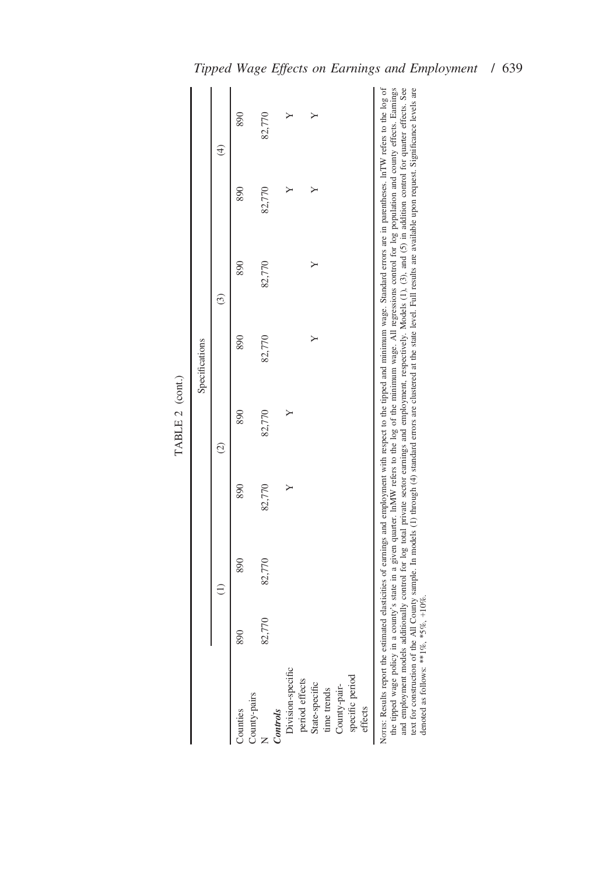|                                                                                                                                                                                                                                                                                                                                                                                                                   |        |        |                                            |                   | Specifications      |                                                                                                                                                                |               |             |
|-------------------------------------------------------------------------------------------------------------------------------------------------------------------------------------------------------------------------------------------------------------------------------------------------------------------------------------------------------------------------------------------------------------------|--------|--------|--------------------------------------------|-------------------|---------------------|----------------------------------------------------------------------------------------------------------------------------------------------------------------|---------------|-------------|
|                                                                                                                                                                                                                                                                                                                                                                                                                   |        |        |                                            | $\widehat{\circ}$ |                     | $\odot$                                                                                                                                                        |               | $\bigoplus$ |
| <b>Counties</b>                                                                                                                                                                                                                                                                                                                                                                                                   | 890    | 890    | 890                                        | 890               | 890                 | 890                                                                                                                                                            | 890           | 890         |
| County-pairs                                                                                                                                                                                                                                                                                                                                                                                                      |        |        |                                            |                   |                     |                                                                                                                                                                |               |             |
|                                                                                                                                                                                                                                                                                                                                                                                                                   | 82,770 | 82,770 | 82,770                                     | 82,770            | 82,770              | 82,770                                                                                                                                                         | 82,770        | 82,770      |
| <b>Controls</b>                                                                                                                                                                                                                                                                                                                                                                                                   |        |        |                                            |                   |                     |                                                                                                                                                                |               |             |
| Division-specific                                                                                                                                                                                                                                                                                                                                                                                                 |        |        |                                            |                   |                     |                                                                                                                                                                |               |             |
| period effects<br>State-specific                                                                                                                                                                                                                                                                                                                                                                                  |        |        |                                            |                   |                     |                                                                                                                                                                |               |             |
|                                                                                                                                                                                                                                                                                                                                                                                                                   |        |        |                                            |                   |                     |                                                                                                                                                                |               |             |
| time trends                                                                                                                                                                                                                                                                                                                                                                                                       |        |        |                                            |                   |                     |                                                                                                                                                                |               |             |
| County-pair-                                                                                                                                                                                                                                                                                                                                                                                                      |        |        |                                            |                   |                     |                                                                                                                                                                |               |             |
| specific period                                                                                                                                                                                                                                                                                                                                                                                                   |        |        |                                            |                   |                     |                                                                                                                                                                |               |             |
| effects                                                                                                                                                                                                                                                                                                                                                                                                           |        |        |                                            |                   |                     |                                                                                                                                                                |               |             |
| Norts: Results report the estimated elasticities of earnings and employment with respect to the tipped and minimum wage. Standard errors are in parentheses. InTW refers to the log of<br>the tipped wage policy in a county's state in a given quarter. InMW refers to the log of the minimum wage. All regressions control for log population and county effects. Earnings<br>and employment models additionall |        |        | アー・アー・ブー くろく アー・ブリー アイアン・ディアー しゅうしゅう しゅうしゅ |                   | 医皮肤 医皮肤 医心脏 医心脏 医心脏 | additionally control for log total private sector earnings and employment, respectively. Models (1), (3), and (5) in addition control for quarter effects. See | $\frac{1}{2}$ |             |

| C<br>r<br>Ľ |  |
|-------------|--|

text for construction of the All County sample. In models (1) through (4) standard errors are clustered at the state level. Full results are available upon request. Significance levels are denoted as follows: \*\*1%, \*5%, +1 text for construction of the All County sample. In models (1) through (4) standard errors are clustered at the state level. Full results are available upon request. Significance levels are denoted as follows: \*\*1%, \*5%, +10%.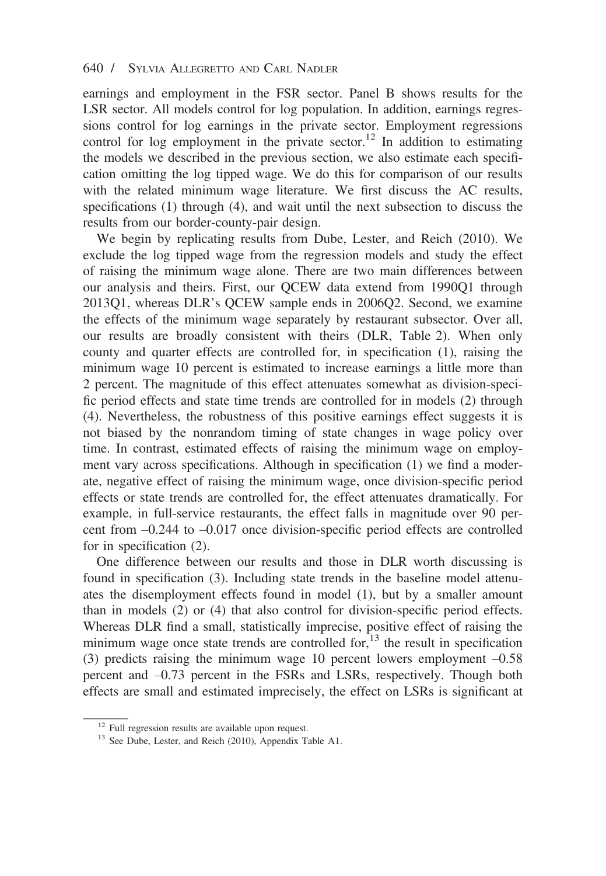earnings and employment in the FSR sector. Panel B shows results for the LSR sector. All models control for log population. In addition, earnings regressions control for log earnings in the private sector. Employment regressions control for log employment in the private sector.<sup>12</sup> In addition to estimating the models we described in the previous section, we also estimate each specification omitting the log tipped wage. We do this for comparison of our results with the related minimum wage literature. We first discuss the AC results, specifications (1) through (4), and wait until the next subsection to discuss the results from our border-county-pair design.

We begin by replicating results from Dube, Lester, and Reich (2010). We exclude the log tipped wage from the regression models and study the effect of raising the minimum wage alone. There are two main differences between our analysis and theirs. First, our QCEW data extend from 1990Q1 through 2013Q1, whereas DLR's QCEW sample ends in 2006Q2. Second, we examine the effects of the minimum wage separately by restaurant subsector. Over all, our results are broadly consistent with theirs (DLR, Table 2). When only county and quarter effects are controlled for, in specification (1), raising the minimum wage 10 percent is estimated to increase earnings a little more than 2 percent. The magnitude of this effect attenuates somewhat as division-specific period effects and state time trends are controlled for in models (2) through (4). Nevertheless, the robustness of this positive earnings effect suggests it is not biased by the nonrandom timing of state changes in wage policy over time. In contrast, estimated effects of raising the minimum wage on employment vary across specifications. Although in specification (1) we find a moderate, negative effect of raising the minimum wage, once division-specific period effects or state trends are controlled for, the effect attenuates dramatically. For example, in full-service restaurants, the effect falls in magnitude over 90 percent from –0.244 to –0.017 once division-specific period effects are controlled for in specification (2).

One difference between our results and those in DLR worth discussing is found in specification (3). Including state trends in the baseline model attenuates the disemployment effects found in model (1), but by a smaller amount than in models (2) or (4) that also control for division-specific period effects. Whereas DLR find a small, statistically imprecise, positive effect of raising the minimum wage once state trends are controlled for, $^{13}$  the result in specification (3) predicts raising the minimum wage 10 percent lowers employment –0.58 percent and –0.73 percent in the FSRs and LSRs, respectively. Though both effects are small and estimated imprecisely, the effect on LSRs is significant at

<sup>&</sup>lt;sup>12</sup> Full regression results are available upon request.

<sup>&</sup>lt;sup>13</sup> See Dube, Lester, and Reich (2010), Appendix Table A1.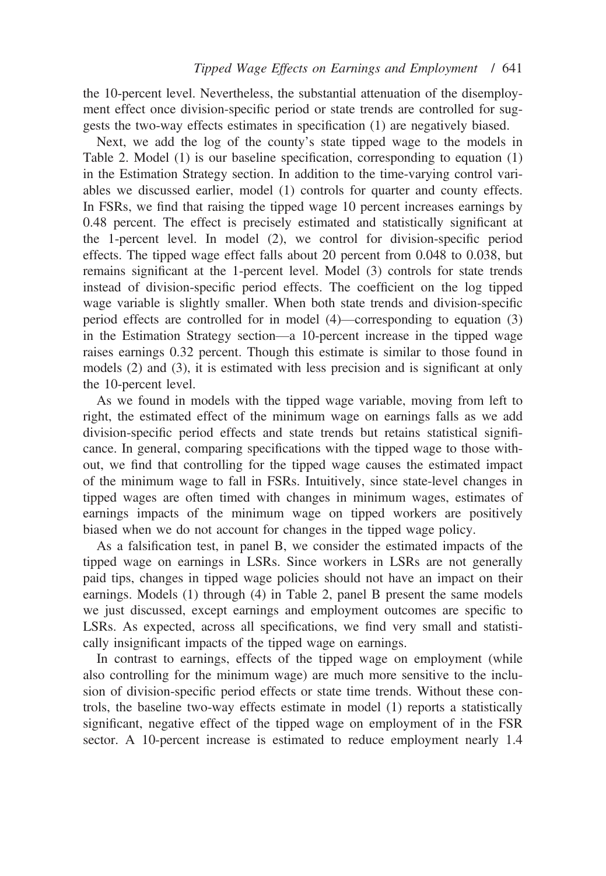the 10-percent level. Nevertheless, the substantial attenuation of the disemployment effect once division-specific period or state trends are controlled for suggests the two-way effects estimates in specification (1) are negatively biased.

Next, we add the log of the county's state tipped wage to the models in Table 2. Model (1) is our baseline specification, corresponding to equation (1) in the Estimation Strategy section. In addition to the time-varying control variables we discussed earlier, model (1) controls for quarter and county effects. In FSRs, we find that raising the tipped wage 10 percent increases earnings by 0.48 percent. The effect is precisely estimated and statistically significant at the 1-percent level. In model (2), we control for division-specific period effects. The tipped wage effect falls about 20 percent from 0.048 to 0.038, but remains significant at the 1-percent level. Model (3) controls for state trends instead of division-specific period effects. The coefficient on the log tipped wage variable is slightly smaller. When both state trends and division-specific period effects are controlled for in model (4)—corresponding to equation (3) in the Estimation Strategy section—a 10-percent increase in the tipped wage raises earnings 0.32 percent. Though this estimate is similar to those found in models (2) and (3), it is estimated with less precision and is significant at only the 10-percent level.

As we found in models with the tipped wage variable, moving from left to right, the estimated effect of the minimum wage on earnings falls as we add division-specific period effects and state trends but retains statistical significance. In general, comparing specifications with the tipped wage to those without, we find that controlling for the tipped wage causes the estimated impact of the minimum wage to fall in FSRs. Intuitively, since state-level changes in tipped wages are often timed with changes in minimum wages, estimates of earnings impacts of the minimum wage on tipped workers are positively biased when we do not account for changes in the tipped wage policy.

As a falsification test, in panel B, we consider the estimated impacts of the tipped wage on earnings in LSRs. Since workers in LSRs are not generally paid tips, changes in tipped wage policies should not have an impact on their earnings. Models (1) through (4) in Table 2, panel B present the same models we just discussed, except earnings and employment outcomes are specific to LSRs. As expected, across all specifications, we find very small and statistically insignificant impacts of the tipped wage on earnings.

In contrast to earnings, effects of the tipped wage on employment (while also controlling for the minimum wage) are much more sensitive to the inclusion of division-specific period effects or state time trends. Without these controls, the baseline two-way effects estimate in model (1) reports a statistically significant, negative effect of the tipped wage on employment of in the FSR sector. A 10-percent increase is estimated to reduce employment nearly 1.4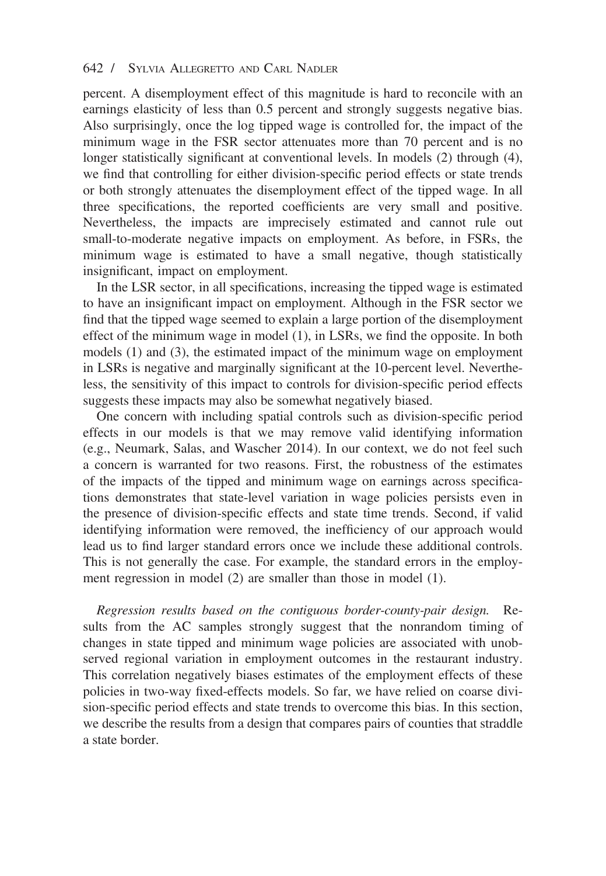percent. A disemployment effect of this magnitude is hard to reconcile with an earnings elasticity of less than 0.5 percent and strongly suggests negative bias. Also surprisingly, once the log tipped wage is controlled for, the impact of the minimum wage in the FSR sector attenuates more than 70 percent and is no longer statistically significant at conventional levels. In models (2) through (4), we find that controlling for either division-specific period effects or state trends or both strongly attenuates the disemployment effect of the tipped wage. In all three specifications, the reported coefficients are very small and positive. Nevertheless, the impacts are imprecisely estimated and cannot rule out small-to-moderate negative impacts on employment. As before, in FSRs, the minimum wage is estimated to have a small negative, though statistically insignificant, impact on employment.

In the LSR sector, in all specifications, increasing the tipped wage is estimated to have an insignificant impact on employment. Although in the FSR sector we find that the tipped wage seemed to explain a large portion of the disemployment effect of the minimum wage in model (1), in LSRs, we find the opposite. In both models (1) and (3), the estimated impact of the minimum wage on employment in LSRs is negative and marginally significant at the 10-percent level. Nevertheless, the sensitivity of this impact to controls for division-specific period effects suggests these impacts may also be somewhat negatively biased.

One concern with including spatial controls such as division-specific period effects in our models is that we may remove valid identifying information (e.g., Neumark, Salas, and Wascher 2014). In our context, we do not feel such a concern is warranted for two reasons. First, the robustness of the estimates of the impacts of the tipped and minimum wage on earnings across specifications demonstrates that state-level variation in wage policies persists even in the presence of division-specific effects and state time trends. Second, if valid identifying information were removed, the inefficiency of our approach would lead us to find larger standard errors once we include these additional controls. This is not generally the case. For example, the standard errors in the employment regression in model (2) are smaller than those in model (1).

Regression results based on the contiguous border-county-pair design. Results from the AC samples strongly suggest that the nonrandom timing of changes in state tipped and minimum wage policies are associated with unobserved regional variation in employment outcomes in the restaurant industry. This correlation negatively biases estimates of the employment effects of these policies in two-way fixed-effects models. So far, we have relied on coarse division-specific period effects and state trends to overcome this bias. In this section, we describe the results from a design that compares pairs of counties that straddle a state border.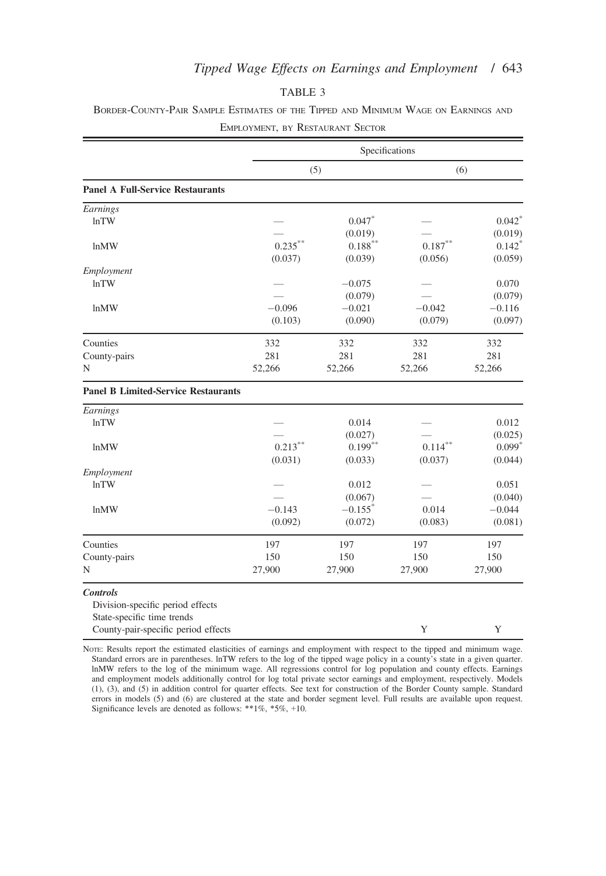TABLE 3

BORDER-COUNTY-PAIR SAMPLE ESTIMATES OF THE TIPPED AND MINIMUM WAGE ON EARNINGS AND

|                                            |            | Specifications                   |            |                                 |
|--------------------------------------------|------------|----------------------------------|------------|---------------------------------|
|                                            |            | (5)                              | (6)        |                                 |
| <b>Panel A Full-Service Restaurants</b>    |            |                                  |            |                                 |
| Earnings                                   |            |                                  |            |                                 |
| lnTW                                       |            | $0.047*$                         |            | 0.042                           |
| lnMW                                       | $0.235***$ | (0.019)<br>$0.188$ <sup>**</sup> | $0.187**$  | (0.019)<br>$0.142$ <sup>*</sup> |
|                                            | (0.037)    | (0.039)                          | (0.056)    | (0.059)                         |
| Employment                                 |            |                                  |            |                                 |
| lnTW                                       |            | $-0.075$                         |            | 0.070                           |
|                                            |            | (0.079)                          |            | (0.079)                         |
| <b>lnMW</b>                                | $-0.096$   | $-0.021$                         | $-0.042$   | $-0.116$                        |
|                                            | (0.103)    | (0.090)                          | (0.079)    | (0.097)                         |
| Counties                                   | 332        | 332                              | 332        | 332                             |
| County-pairs                               | 281        | 281                              | 281        | 281                             |
| N                                          | 52,266     | 52,266                           | 52,266     | 52,266                          |
| <b>Panel B Limited-Service Restaurants</b> |            |                                  |            |                                 |
| Earnings                                   |            |                                  |            |                                 |
| lnTW                                       |            | 0.014                            |            | 0.012                           |
|                                            |            | (0.027)                          |            | (0.025)                         |
| lnMW                                       | $0.213***$ | $0.199***$                       | $0.114***$ | $0.099*$                        |
|                                            | (0.031)    | (0.033)                          | (0.037)    | (0.044)                         |
| Employment                                 |            |                                  |            |                                 |
| lnTW                                       |            | 0.012                            |            | 0.051                           |
|                                            |            | (0.067)                          |            | (0.040)                         |
| lnMW                                       | $-0.143$   | $-0.155$ *                       | 0.014      | $-0.044$                        |
|                                            | (0.092)    | (0.072)                          | (0.083)    | (0.081)                         |
| Counties                                   | 197        | 197                              | 197        | 197                             |
| County-pairs                               | 150        | 150                              | 150        | 150                             |
| N                                          | 27,900     | 27,900                           | 27,900     | 27,900                          |
| <b>Controls</b>                            |            |                                  |            |                                 |
| Division-specific period effects           |            |                                  |            |                                 |
| State-specific time trends                 |            |                                  |            |                                 |
| County-pair-specific period effects        |            |                                  | Y          | Y                               |

EMPLOYMENT, BY RESTAURANT SECTOR

NOTE: Results report the estimated elasticities of earnings and employment with respect to the tipped and minimum wage. Standard errors are in parentheses. lnTW refers to the log of the tipped wage policy in a county's state in a given quarter. lnMW refers to the log of the minimum wage. All regressions control for log population and county effects. Earnings and employment models additionally control for log total private sector earnings and employment, respectively. Models (1), (3), and (5) in addition control for quarter effects. See text for construction of the Border County sample. Standard errors in models (5) and (6) are clustered at the state and border segment level. Full results are available upon request. Significance levels are denoted as follows: \*\*1%, \*5%, +10.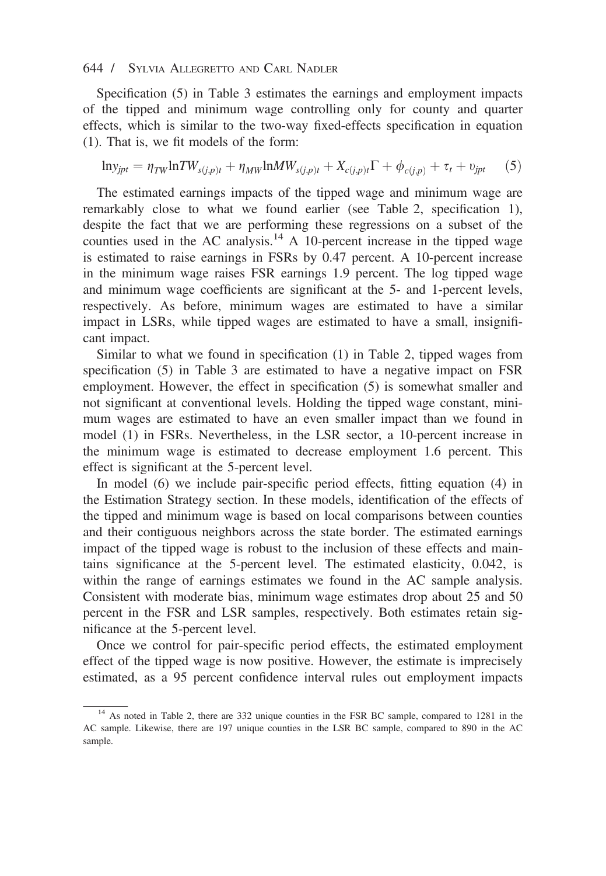Specification (5) in Table 3 estimates the earnings and employment impacts of the tipped and minimum wage controlling only for county and quarter effects, which is similar to the two-way fixed-effects specification in equation (1). That is, we fit models of the form:

$$
\ln y_{jpt} = \eta_{TW} \ln TW_{s(j,p)t} + \eta_{MW} \ln MW_{s(j,p)t} + X_{c(j,p)t} \Gamma + \phi_{c(j,p)} + \tau_t + v_{jpt} \tag{5}
$$

The estimated earnings impacts of the tipped wage and minimum wage are remarkably close to what we found earlier (see Table 2, specification 1), despite the fact that we are performing these regressions on a subset of the counties used in the AC analysis.<sup>14</sup> A 10-percent increase in the tipped wage is estimated to raise earnings in FSRs by 0.47 percent. A 10-percent increase in the minimum wage raises FSR earnings 1.9 percent. The log tipped wage and minimum wage coefficients are significant at the 5- and 1-percent levels, respectively. As before, minimum wages are estimated to have a similar impact in LSRs, while tipped wages are estimated to have a small, insignificant impact.

Similar to what we found in specification (1) in Table 2, tipped wages from specification (5) in Table 3 are estimated to have a negative impact on FSR employment. However, the effect in specification (5) is somewhat smaller and not significant at conventional levels. Holding the tipped wage constant, minimum wages are estimated to have an even smaller impact than we found in model (1) in FSRs. Nevertheless, in the LSR sector, a 10-percent increase in the minimum wage is estimated to decrease employment 1.6 percent. This effect is significant at the 5-percent level.

In model (6) we include pair-specific period effects, fitting equation (4) in the Estimation Strategy section. In these models, identification of the effects of the tipped and minimum wage is based on local comparisons between counties and their contiguous neighbors across the state border. The estimated earnings impact of the tipped wage is robust to the inclusion of these effects and maintains significance at the 5-percent level. The estimated elasticity, 0.042, is within the range of earnings estimates we found in the AC sample analysis. Consistent with moderate bias, minimum wage estimates drop about 25 and 50 percent in the FSR and LSR samples, respectively. Both estimates retain significance at the 5-percent level.

Once we control for pair-specific period effects, the estimated employment effect of the tipped wage is now positive. However, the estimate is imprecisely estimated, as a 95 percent confidence interval rules out employment impacts

<sup>&</sup>lt;sup>14</sup> As noted in Table 2, there are 332 unique counties in the FSR BC sample, compared to 1281 in the AC sample. Likewise, there are 197 unique counties in the LSR BC sample, compared to 890 in the AC sample.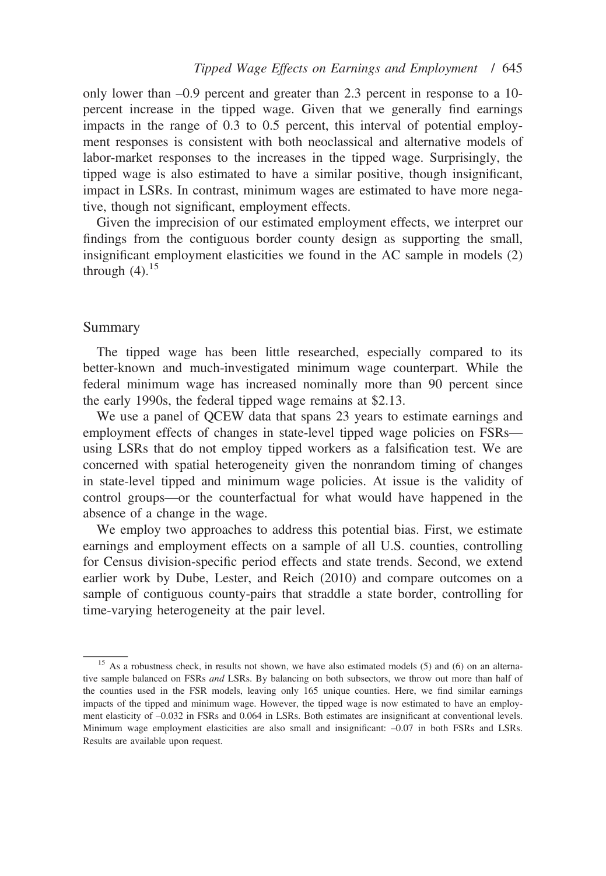only lower than –0.9 percent and greater than 2.3 percent in response to a 10 percent increase in the tipped wage. Given that we generally find earnings impacts in the range of 0.3 to 0.5 percent, this interval of potential employment responses is consistent with both neoclassical and alternative models of labor-market responses to the increases in the tipped wage. Surprisingly, the tipped wage is also estimated to have a similar positive, though insignificant, impact in LSRs. In contrast, minimum wages are estimated to have more negative, though not significant, employment effects.

Given the imprecision of our estimated employment effects, we interpret our findings from the contiguous border county design as supporting the small, insignificant employment elasticities we found in the AC sample in models (2) through  $(4)$ .<sup>15</sup>

#### Summary

The tipped wage has been little researched, especially compared to its better-known and much-investigated minimum wage counterpart. While the federal minimum wage has increased nominally more than 90 percent since the early 1990s, the federal tipped wage remains at \$2.13.

We use a panel of QCEW data that spans 23 years to estimate earnings and employment effects of changes in state-level tipped wage policies on FSRs using LSRs that do not employ tipped workers as a falsification test. We are concerned with spatial heterogeneity given the nonrandom timing of changes in state-level tipped and minimum wage policies. At issue is the validity of control groups—or the counterfactual for what would have happened in the absence of a change in the wage.

We employ two approaches to address this potential bias. First, we estimate earnings and employment effects on a sample of all U.S. counties, controlling for Census division-specific period effects and state trends. Second, we extend earlier work by Dube, Lester, and Reich (2010) and compare outcomes on a sample of contiguous county-pairs that straddle a state border, controlling for time-varying heterogeneity at the pair level.

<sup>&</sup>lt;sup>15</sup> As a robustness check, in results not shown, we have also estimated models (5) and (6) on an alternative sample balanced on FSRs and LSRs. By balancing on both subsectors, we throw out more than half of the counties used in the FSR models, leaving only 165 unique counties. Here, we find similar earnings impacts of the tipped and minimum wage. However, the tipped wage is now estimated to have an employment elasticity of –0.032 in FSRs and 0.064 in LSRs. Both estimates are insignificant at conventional levels. Minimum wage employment elasticities are also small and insignificant: –0.07 in both FSRs and LSRs. Results are available upon request.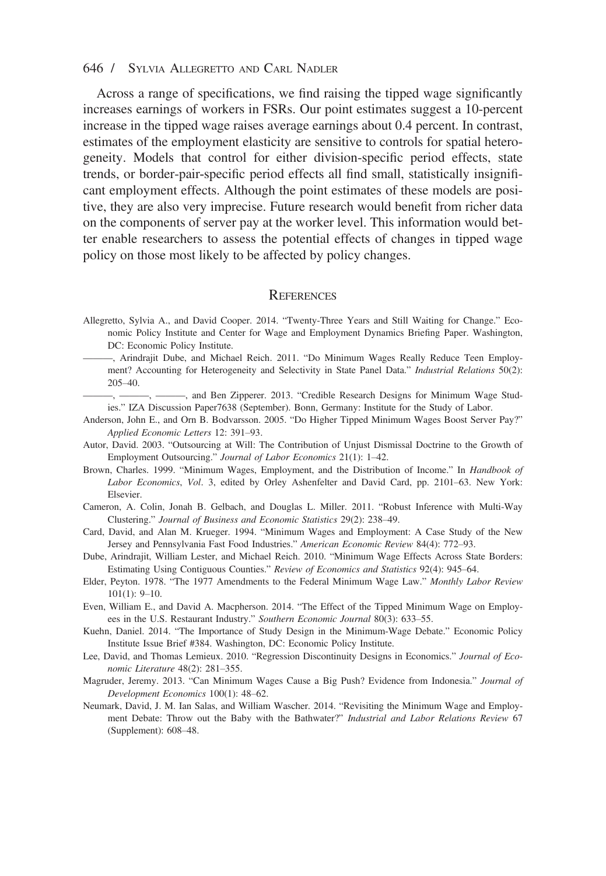Across a range of specifications, we find raising the tipped wage significantly increases earnings of workers in FSRs. Our point estimates suggest a 10-percent increase in the tipped wage raises average earnings about 0.4 percent. In contrast, estimates of the employment elasticity are sensitive to controls for spatial heterogeneity. Models that control for either division-specific period effects, state trends, or border-pair-specific period effects all find small, statistically insignificant employment effects. Although the point estimates of these models are positive, they are also very imprecise. Future research would benefit from richer data on the components of server pay at the worker level. This information would better enable researchers to assess the potential effects of changes in tipped wage policy on those most likely to be affected by policy changes.

#### **REFERENCES**

- Allegretto, Sylvia A., and David Cooper. 2014. "Twenty-Three Years and Still Waiting for Change." Economic Policy Institute and Center for Wage and Employment Dynamics Briefing Paper. Washington, DC: Economic Policy Institute.
	- ———, Arindrajit Dube, and Michael Reich. 2011. "Do Minimum Wages Really Reduce Teen Employment? Accounting for Heterogeneity and Selectivity in State Panel Data." Industrial Relations 50(2): 205–40.
- ———, ———, ———, and Ben Zipperer. 2013. "Credible Research Designs for Minimum Wage Studies." IZA Discussion Paper7638 (September). Bonn, Germany: Institute for the Study of Labor.
- Anderson, John E., and Orn B. Bodvarsson. 2005. "Do Higher Tipped Minimum Wages Boost Server Pay?" Applied Economic Letters 12: 391–93.
- Autor, David. 2003. "Outsourcing at Will: The Contribution of Unjust Dismissal Doctrine to the Growth of Employment Outsourcing." Journal of Labor Economics 21(1): 1–42.
- Brown, Charles. 1999. "Minimum Wages, Employment, and the Distribution of Income." In Handbook of Labor Economics, Vol. 3, edited by Orley Ashenfelter and David Card, pp. 2101–63. New York: Elsevier.
- Cameron, A. Colin, Jonah B. Gelbach, and Douglas L. Miller. 2011. "Robust Inference with Multi-Way Clustering." Journal of Business and Economic Statistics 29(2): 238–49.
- Card, David, and Alan M. Krueger. 1994. "Minimum Wages and Employment: A Case Study of the New Jersey and Pennsylvania Fast Food Industries." American Economic Review 84(4): 772–93.
- Dube, Arindrajit, William Lester, and Michael Reich. 2010. "Minimum Wage Effects Across State Borders: Estimating Using Contiguous Counties." Review of Economics and Statistics 92(4): 945–64.
- Elder, Peyton. 1978. "The 1977 Amendments to the Federal Minimum Wage Law." Monthly Labor Review 101(1): 9–10.
- Even, William E., and David A. Macpherson. 2014. "The Effect of the Tipped Minimum Wage on Employees in the U.S. Restaurant Industry." Southern Economic Journal 80(3): 633–55.
- Kuehn, Daniel. 2014. "The Importance of Study Design in the Minimum-Wage Debate." Economic Policy Institute Issue Brief #384. Washington, DC: Economic Policy Institute.
- Lee, David, and Thomas Lemieux. 2010. "Regression Discontinuity Designs in Economics." Journal of Economic Literature 48(2): 281–355.
- Magruder, Jeremy. 2013. "Can Minimum Wages Cause a Big Push? Evidence from Indonesia." Journal of Development Economics 100(1): 48–62.
- Neumark, David, J. M. Ian Salas, and William Wascher. 2014. "Revisiting the Minimum Wage and Employment Debate: Throw out the Baby with the Bathwater?" Industrial and Labor Relations Review 67 (Supplement): 608–48.